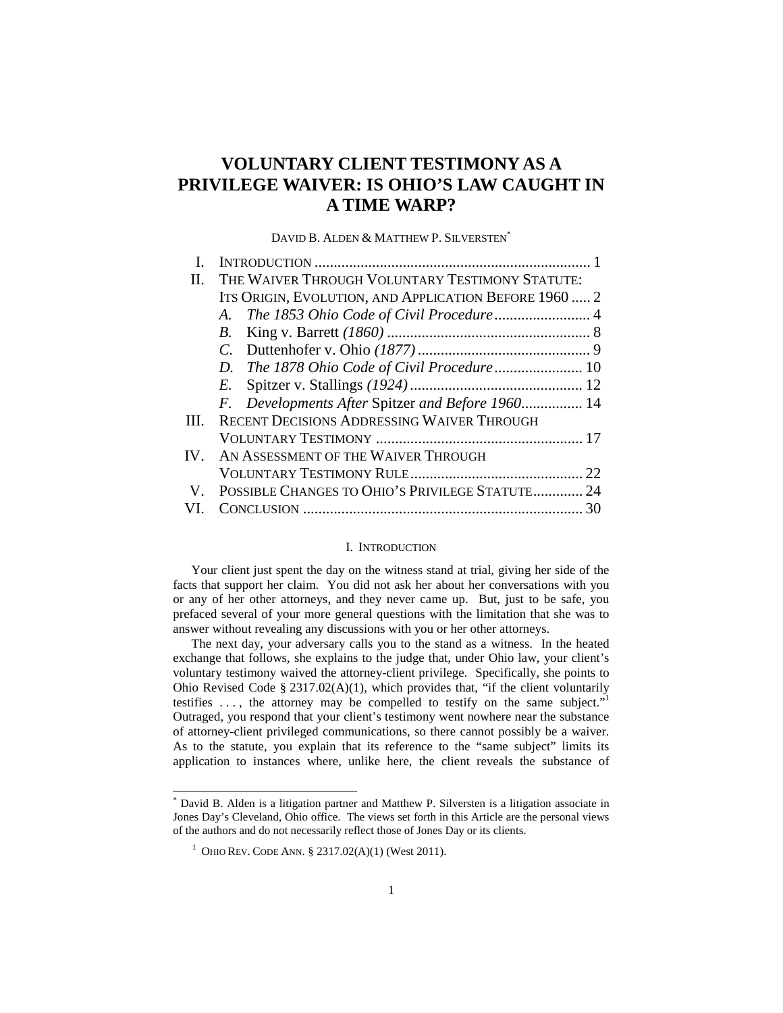# **VOLUNTARY CLIENT TESTIMONY AS A PRIVILEGE WAIVER: IS OHIO'S LAW CAUGHT IN A TIME WARP?**

DAVID B. ALDEN & MATTHEW P. SILVERSTEN<sup>\*</sup>

| THE WAIVER THROUGH VOLUNTARY TESTIMONY STATUTE:       |  |
|-------------------------------------------------------|--|
| ITS ORIGIN, EVOLUTION, AND APPLICATION BEFORE 1960  2 |  |
| A.                                                    |  |
| B.                                                    |  |
|                                                       |  |
| D.                                                    |  |
| E.                                                    |  |
| F. Developments After Spitzer and Before 1960 14      |  |
| RECENT DECISIONS ADDRESSING WAIVER THROUGH            |  |
|                                                       |  |
| AN ASSESSMENT OF THE WAIVER THROUGH<br>$IV_{-}$       |  |
|                                                       |  |
| POSSIBLE CHANGES TO OHIO'S PRIVILEGE STATUTE 24       |  |
|                                                       |  |
|                                                       |  |

# I.INTRODUCTION

Your client just spent the day on the witness stand at trial, giving her side of the facts that support her claim. You did not ask her about her conversations with you or any of her other attorneys, and they never came up. But, just to be safe, you prefaced several of your more general questions with the limitation that she was to answer without revealing any discussions with you or her other attorneys.

The next day, your adversary calls you to the stand as a witness. In the heated exchange that follows, she explains to the judge that, under Ohio law, your client's voluntary testimony waived the attorney-client privilege. Specifically, she points to Ohio Revised Code §  $2317.02(A)(1)$ , which provides that, "if the client voluntarily testifies  $\dots$ , the attorney may be compelled to testify on the same subject." Outraged, you respond that your client's testimony went nowhere near the substance of attorney-client privileged communications, so there cannot possibly be a waiver. As to the statute, you explain that its reference to the "same subject" limits its application to instances where, unlike here, the client reveals the substance of

<sup>\*</sup> David B. Alden is a litigation partner and Matthew P. Silversten is a litigation associate in Jones Day's Cleveland, Ohio office. The views set forth in this Article are the personal views of the authors and do not necessarily reflect those of Jones Day or its clients.

<sup>&</sup>lt;sup>1</sup> OHIO REV. CODE ANN. § 2317.02(A)(1) (West 2011).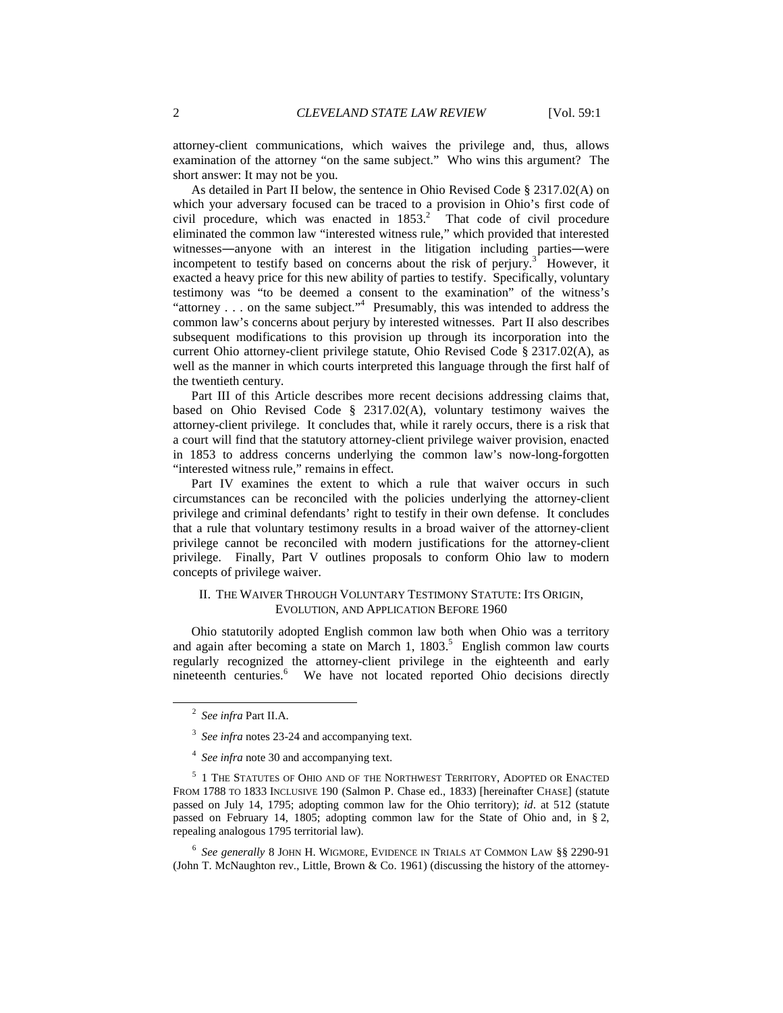attorney-client communications, which waives the privilege and, thus, allows examination of the attorney "on the same subject." Who wins this argument? The short answer: It may not be you.

As detailed in Part II below, the sentence in Ohio Revised Code § 2317.02(A) on which your adversary focused can be traced to a provision in Ohio's first code of civil procedure, which was enacted in  $1853$ <sup>2</sup>. That code of civil procedure eliminated the common law "interested witness rule," which provided that interested witnesses―anyone with an interest in the litigation including parties―were incompetent to testify based on concerns about the risk of perjury. $3$  However, it exacted a heavy price for this new ability of parties to testify. Specifically, voluntary testimony was "to be deemed a consent to the examination" of the witness's "attorney . . . on the same subject."<sup>4</sup> Presumably, this was intended to address the common law's concerns about perjury by interested witnesses. Part II also describes subsequent modifications to this provision up through its incorporation into the current Ohio attorney-client privilege statute, Ohio Revised Code § 2317.02(A), as well as the manner in which courts interpreted this language through the first half of the twentieth century.

Part III of this Article describes more recent decisions addressing claims that, based on Ohio Revised Code § 2317.02(A), voluntary testimony waives the attorney-client privilege. It concludes that, while it rarely occurs, there is a risk that a court will find that the statutory attorney-client privilege waiver provision, enacted in 1853 to address concerns underlying the common law's now-long-forgotten "interested witness rule," remains in effect.

Part IV examines the extent to which a rule that waiver occurs in such circumstances can be reconciled with the policies underlying the attorney-client privilege and criminal defendants' right to testify in their own defense. It concludes that a rule that voluntary testimony results in a broad waiver of the attorney-client privilege cannot be reconciled with modern justifications for the attorney-client privilege. Finally, Part V outlines proposals to conform Ohio law to modern concepts of privilege waiver.

## II. THE WAIVER THROUGH VOLUNTARY TESTIMONY STATUTE: ITS ORIGIN, EVOLUTION, AND APPLICATION BEFORE 1960

Ohio statutorily adopted English common law both when Ohio was a territory and again after becoming a state on March 1,  $1803$ .<sup>5</sup> English common law courts regularly recognized the attorney-client privilege in the eighteenth and early nineteenth centuries.<sup>6</sup> We have not located reported Ohio decisions directly

-

6 *See generally* 8 JOHN H. WIGMORE, EVIDENCE IN TRIALS AT COMMON LAW §§ 2290-91 (John T. McNaughton rev., Little, Brown & Co. 1961) (discussing the history of the attorney-

<sup>2</sup> *See infra* Part II.A.

<sup>3</sup> *See infra* notes 23-24 and accompanying text.

<sup>&</sup>lt;sup>4</sup> See infra note 30 and accompanying text.

 $^5\,$  1 The Statutes of Ohio and of the Northwest Territory, Adopted or Enacted FROM 1788 TO 1833 INCLUSIVE 190 (Salmon P. Chase ed., 1833) [hereinafter CHASE] (statute passed on July 14, 1795; adopting common law for the Ohio territory); *id*. at 512 (statute passed on February 14, 1805; adopting common law for the State of Ohio and, in § 2, repealing analogous 1795 territorial law).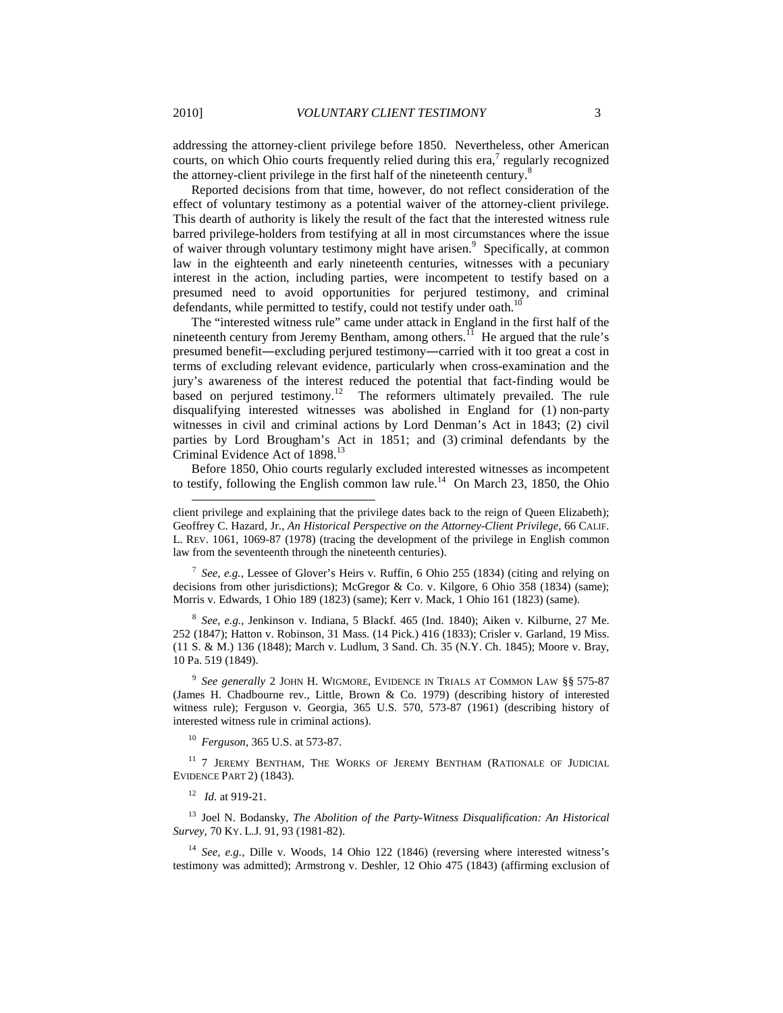addressing the attorney-client privilege before 1850. Nevertheless, other American courts, on which Ohio courts frequently relied during this era, $7$  regularly recognized the attorney-client privilege in the first half of the nineteenth century.<sup>8</sup>

Reported decisions from that time, however, do not reflect consideration of the effect of voluntary testimony as a potential waiver of the attorney-client privilege. This dearth of authority is likely the result of the fact that the interested witness rule barred privilege-holders from testifying at all in most circumstances where the issue of waiver through voluntary testimony might have arisen.<sup>9</sup> Specifically, at common law in the eighteenth and early nineteenth centuries, witnesses with a pecuniary interest in the action, including parties, were incompetent to testify based on a presumed need to avoid opportunities for perjured testimony, and criminal defendants, while permitted to testify, could not testify under oath.<sup>10</sup>

The "interested witness rule" came under attack in England in the first half of the nineteenth century from Jeremy Bentham, among others.<sup>11</sup> He argued that the rule's presumed benefit―excluding perjured testimony―carried with it too great a cost in terms of excluding relevant evidence, particularly when cross-examination and the jury's awareness of the interest reduced the potential that fact-finding would be based on perjured testimony.<sup>12</sup> The reformers ultimately prevailed. The rule disqualifying interested witnesses was abolished in England for (1) non-party witnesses in civil and criminal actions by Lord Denman's Act in 1843; (2) civil parties by Lord Brougham's Act in 1851; and (3) criminal defendants by the Criminal Evidence Act of 1898.<sup>13</sup>

Before 1850, Ohio courts regularly excluded interested witnesses as incompetent to testify, following the English common law rule.<sup>14</sup> On March 23, 1850, the Ohio

7 *See, e.g.*, Lessee of Glover's Heirs v. Ruffin, 6 Ohio 255 (1834) (citing and relying on decisions from other jurisdictions); McGregor & Co. v. Kilgore, 6 Ohio 358 (1834) (same); Morris v. Edwards, 1 Ohio 189 (1823) (same); Kerr v. Mack, 1 Ohio 161 (1823) (same).

8 *See, e.g.*, Jenkinson v. Indiana, 5 Blackf. 465 (Ind. 1840); Aiken v. Kilburne, 27 Me. 252 (1847); Hatton v. Robinson, 31 Mass. (14 Pick.) 416 (1833); Crisler v. Garland, 19 Miss. (11 S. & M.) 136 (1848); March v. Ludlum, 3 Sand. Ch. 35 (N.Y. Ch. 1845); Moore v. Bray, 10 Pa. 519 (1849).

9 *See generally* 2 JOHN H. WIGMORE, EVIDENCE IN TRIALS AT COMMON LAW §§ 575-87 (James H. Chadbourne rev., Little, Brown & Co. 1979) (describing history of interested witness rule); Ferguson v. Georgia, 365 U.S. 570, 573-87 (1961) (describing history of interested witness rule in criminal actions).

<sup>10</sup> *Ferguson*, 365 U.S. at 573-87.

<sup>11</sup> 7 JEREMY BENTHAM, THE WORKS OF JEREMY BENTHAM (RATIONALE OF JUDICIAL EVIDENCE PART 2) (1843).

12 *Id.* at 919-21.

<sup>13</sup> Joel N. Bodansky, *The Abolition of the Party-Witness Disqualification: An Historical Survey*, 70 KY. L.J. 91, 93 (1981-82).

<sup>14</sup> *See, e.g.*, Dille v. Woods, 14 Ohio 122 (1846) (reversing where interested witness's testimony was admitted); Armstrong v. Deshler, 12 Ohio 475 (1843) (affirming exclusion of

client privilege and explaining that the privilege dates back to the reign of Queen Elizabeth); Geoffrey C. Hazard, Jr., *An Historical Perspective on the Attorney-Client Privilege*, 66 CALIF. L. REV. 1061, 1069-87 (1978) (tracing the development of the privilege in English common law from the seventeenth through the nineteenth centuries).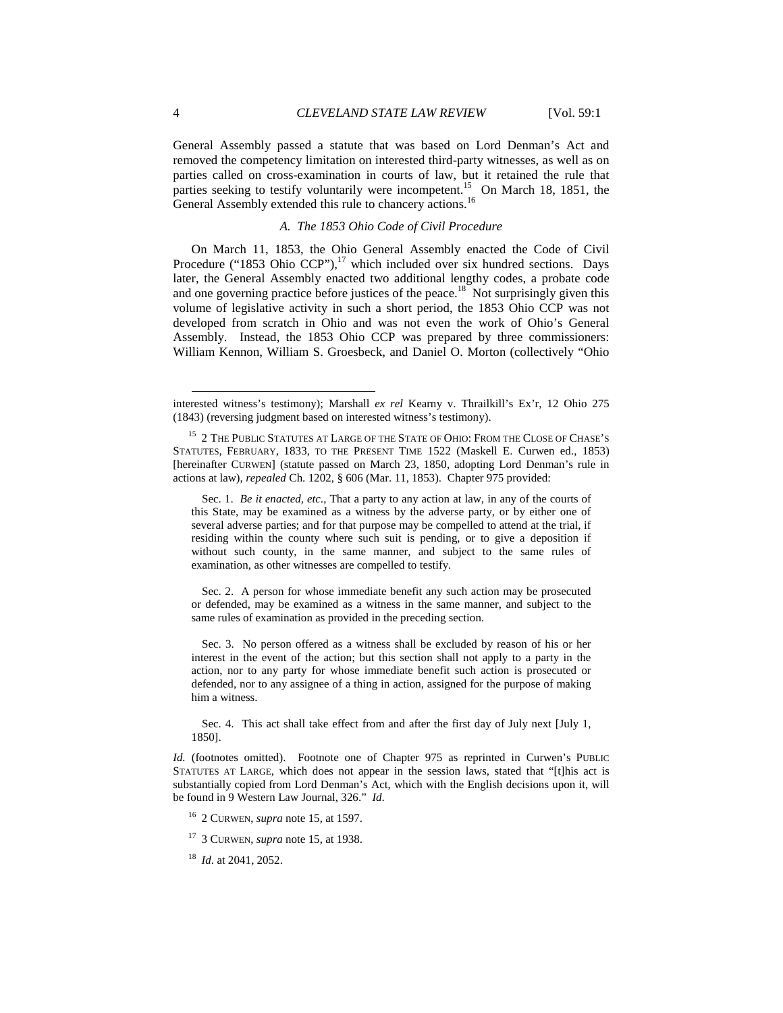General Assembly passed a statute that was based on Lord Denman's Act and removed the competency limitation on interested third-party witnesses, as well as on parties called on cross-examination in courts of law, but it retained the rule that parties seeking to testify voluntarily were incompetent.<sup>15</sup> On March 18, 1851, the General Assembly extended this rule to chancery actions.<sup>16</sup>

## *A. The 1853 Ohio Code of Civil Procedure*

On March 11, 1853, the Ohio General Assembly enacted the Code of Civil Procedure ("1853 Ohio CCP"),<sup>17</sup> which included over six hundred sections. Days later, the General Assembly enacted two additional lengthy codes, a probate code and one governing practice before justices of the peace.<sup>18</sup> Not surprisingly given this volume of legislative activity in such a short period, the 1853 Ohio CCP was not developed from scratch in Ohio and was not even the work of Ohio's General Assembly. Instead, the 1853 Ohio CCP was prepared by three commissioners: William Kennon, William S. Groesbeck, and Daniel O. Morton (collectively "Ohio

 Sec. 2. A person for whose immediate benefit any such action may be prosecuted or defended, may be examined as a witness in the same manner, and subject to the same rules of examination as provided in the preceding section.

 Sec. 3. No person offered as a witness shall be excluded by reason of his or her interest in the event of the action; but this section shall not apply to a party in the action, nor to any party for whose immediate benefit such action is prosecuted or defended, nor to any assignee of a thing in action, assigned for the purpose of making him a witness.

 Sec. 4. This act shall take effect from and after the first day of July next [July 1, 1850].

*Id.* (footnotes omitted). Footnote one of Chapter 975 as reprinted in Curwen's PUBLIC STATUTES AT LARGE, which does not appear in the session laws, stated that "[t]his act is substantially copied from Lord Denman's Act, which with the English decisions upon it, will be found in 9 Western Law Journal, 326." *Id*.

- <sup>16</sup> 2 CURWEN, *supra* note 15, at 1597.
- <sup>17</sup> 3 CURWEN, *supra* note 15, at 1938.
- <sup>18</sup> *Id*. at 2041, 2052.

l

interested witness's testimony); Marshall *ex rel* Kearny v. Thrailkill's Ex'r, 12 Ohio 275 (1843) (reversing judgment based on interested witness's testimony).

 $^{15}\,$  2 THE PUBLIC STATUTES AT LARGE OF THE STATE OF OHIO: FROM THE CLOSE OF CHASE'S STATUTES, FEBRUARY, 1833, TO THE PRESENT TIME 1522 (Maskell E. Curwen ed., 1853) [hereinafter CURWEN] (statute passed on March 23, 1850, adopting Lord Denman's rule in actions at law), *repealed* Ch. 1202, § 606 (Mar. 11, 1853). Chapter 975 provided:

Sec. 1. *Be it enacted, etc*., That a party to any action at law, in any of the courts of this State, may be examined as a witness by the adverse party, or by either one of several adverse parties; and for that purpose may be compelled to attend at the trial, if residing within the county where such suit is pending, or to give a deposition if without such county, in the same manner, and subject to the same rules of examination, as other witnesses are compelled to testify.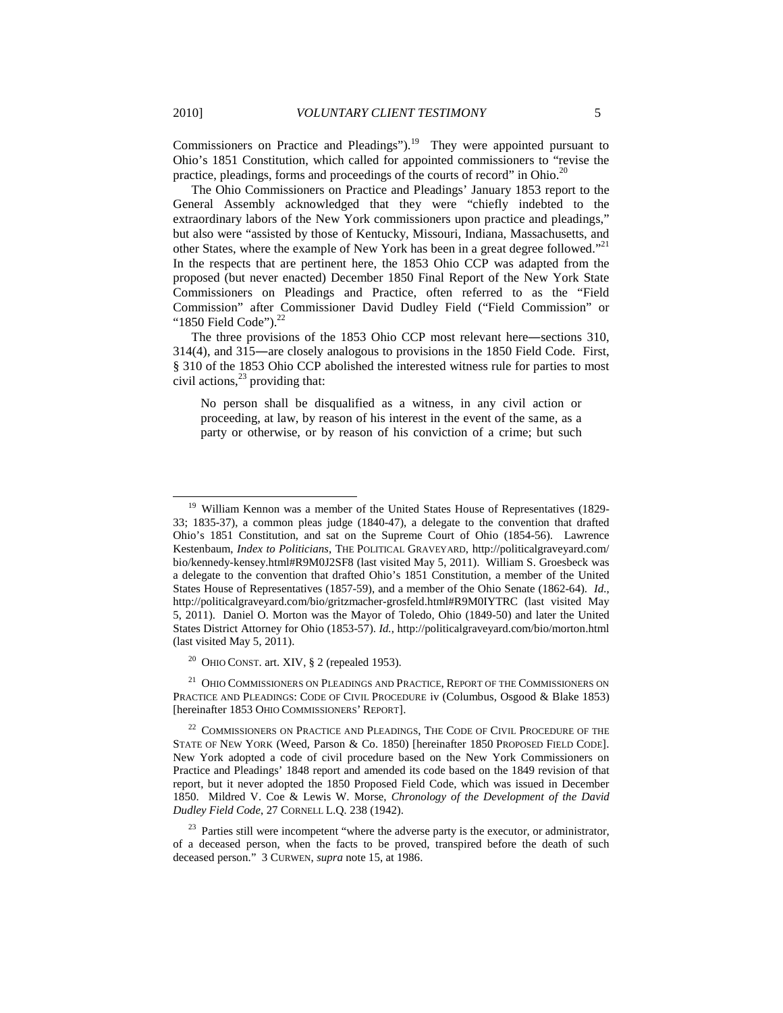Commissioners on Practice and Pleadings").<sup>19</sup> They were appointed pursuant to Ohio's 1851 Constitution, which called for appointed commissioners to "revise the practice, pleadings, forms and proceedings of the courts of record" in Ohio.<sup>20</sup>

The Ohio Commissioners on Practice and Pleadings' January 1853 report to the General Assembly acknowledged that they were "chiefly indebted to the extraordinary labors of the New York commissioners upon practice and pleadings," but also were "assisted by those of Kentucky, Missouri, Indiana, Massachusetts, and other States, where the example of New York has been in a great degree followed."<sup>21</sup> In the respects that are pertinent here, the 1853 Ohio CCP was adapted from the proposed (but never enacted) December 1850 Final Report of the New York State Commissioners on Pleadings and Practice, often referred to as the "Field Commission" after Commissioner David Dudley Field ("Field Commission" or "1850 Field Code"). $^{22}$ 

The three provisions of the 1853 Ohio CCP most relevant here―sections 310, 314(4), and 315―are closely analogous to provisions in the 1850 Field Code. First, § 310 of the 1853 Ohio CCP abolished the interested witness rule for parties to most civil actions, $^{23}$  providing that:

No person shall be disqualified as a witness, in any civil action or proceeding, at law, by reason of his interest in the event of the same, as a party or otherwise, or by reason of his conviction of a crime; but such

<sup>&</sup>lt;sup>19</sup> William Kennon was a member of the United States House of Representatives (1829-33; 1835-37), a common pleas judge (1840-47), a delegate to the convention that drafted Ohio's 1851 Constitution, and sat on the Supreme Court of Ohio (1854-56). Lawrence Kestenbaum, *Index to Politicians*, THE POLITICAL GRAVEYARD, http://politicalgraveyard.com/ bio/kennedy-kensey.html#R9M0J2SF8 (last visited May 5, 2011). William S. Groesbeck was a delegate to the convention that drafted Ohio's 1851 Constitution, a member of the United States House of Representatives (1857-59), and a member of the Ohio Senate (1862-64). *Id.*, http://politicalgraveyard.com/bio/gritzmacher-grosfeld.html#R9M0IYTRC (last visited May 5, 2011).Daniel O. Morton was the Mayor of Toledo, Ohio (1849-50) and later the United States District Attorney for Ohio (1853-57). *Id.*, http://politicalgraveyard.com/bio/morton.html (last visited May 5, 2011).

<sup>20</sup> OHIO CONST. art. XIV, § 2 (repealed 1953).

OHIO COMMISSIONERS ON PLEADINGS AND PRACTICE, REPORT OF THE COMMISSIONERS ON PRACTICE AND PLEADINGS: CODE OF CIVIL PROCEDURE iv (Columbus, Osgood & Blake 1853) [hereinafter 1853 OHIO COMMISSIONERS' REPORT].

 $^{22}$  COMMISSIONERS ON PRACTICE AND PLEADINGS, THE CODE OF CIVIL PROCEDURE OF THE STATE OF NEW YORK (Weed, Parson & Co. 1850) [hereinafter 1850 PROPOSED FIELD CODE]. New York adopted a code of civil procedure based on the New York Commissioners on Practice and Pleadings' 1848 report and amended its code based on the 1849 revision of that report, but it never adopted the 1850 Proposed Field Code, which was issued in December 1850. Mildred V. Coe & Lewis W. Morse, *Chronology of the Development of the David Dudley Field Code*, 27 CORNELL L.Q*.* 238 (1942).

 $23$  Parties still were incompetent "where the adverse party is the executor, or administrator, of a deceased person, when the facts to be proved, transpired before the death of such deceased person." 3 CURWEN, *supra* note 15, at 1986.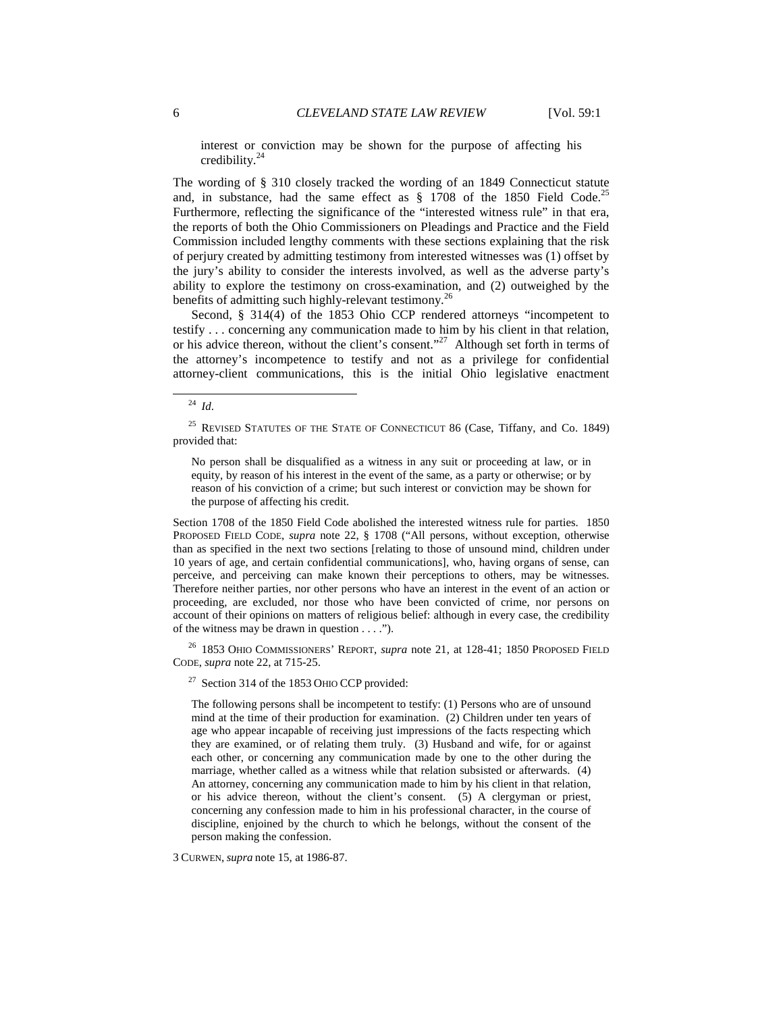interest or conviction may be shown for the purpose of affecting his credibility.<sup>24</sup>

The wording of § 310 closely tracked the wording of an 1849 Connecticut statute and, in substance, had the same effect as  $\S$  1708 of the 1850 Field Code.<sup>25</sup> Furthermore, reflecting the significance of the "interested witness rule" in that era, the reports of both the Ohio Commissioners on Pleadings and Practice and the Field Commission included lengthy comments with these sections explaining that the risk of perjury created by admitting testimony from interested witnesses was (1) offset by the jury's ability to consider the interests involved, as well as the adverse party's ability to explore the testimony on cross-examination, and (2) outweighed by the benefits of admitting such highly-relevant testimony.<sup>26</sup>

Second, § 314(4) of the 1853 Ohio CCP rendered attorneys "incompetent to testify . . . concerning any communication made to him by his client in that relation, or his advice thereon, without the client's consent."<sup>27</sup> Although set forth in terms of the attorney's incompetence to testify and not as a privilege for confidential attorney-client communications, this is the initial Ohio legislative enactment

l

No person shall be disqualified as a witness in any suit or proceeding at law, or in equity, by reason of his interest in the event of the same, as a party or otherwise; or by reason of his conviction of a crime; but such interest or conviction may be shown for the purpose of affecting his credit.

Section 1708 of the 1850 Field Code abolished the interested witness rule for parties. 1850 PROPOSED FIELD CODE, *supra* note 22, § 1708 ("All persons, without exception, otherwise than as specified in the next two sections [relating to those of unsound mind, children under 10 years of age, and certain confidential communications], who, having organs of sense, can perceive, and perceiving can make known their perceptions to others, may be witnesses. Therefore neither parties, nor other persons who have an interest in the event of an action or proceeding, are excluded, nor those who have been convicted of crime, nor persons on account of their opinions on matters of religious belief: although in every case, the credibility of the witness may be drawn in question  $\dots$ .").

<sup>26</sup> 1853 OHIO COMMISSIONERS' REPORT, *supra* note 21, at 128-41; 1850 PROPOSED FIELD CODE, *supra* note 22, at 715-25.

 $27$  Section 314 of the 1853 OHIO CCP provided:

The following persons shall be incompetent to testify: (1) Persons who are of unsound mind at the time of their production for examination. (2) Children under ten years of age who appear incapable of receiving just impressions of the facts respecting which they are examined, or of relating them truly. (3) Husband and wife, for or against each other, or concerning any communication made by one to the other during the marriage, whether called as a witness while that relation subsisted or afterwards. (4) An attorney, concerning any communication made to him by his client in that relation, or his advice thereon, without the client's consent. (5) A clergyman or priest, concerning any confession made to him in his professional character, in the course of discipline, enjoined by the church to which he belongs, without the consent of the person making the confession.

3 CURWEN, *supra* note 15, at 1986-87.

<sup>24</sup> *Id*.

<sup>&</sup>lt;sup>25</sup> REVISED STATUTES OF THE STATE OF CONNECTICUT 86 (Case, Tiffany, and Co. 1849) provided that: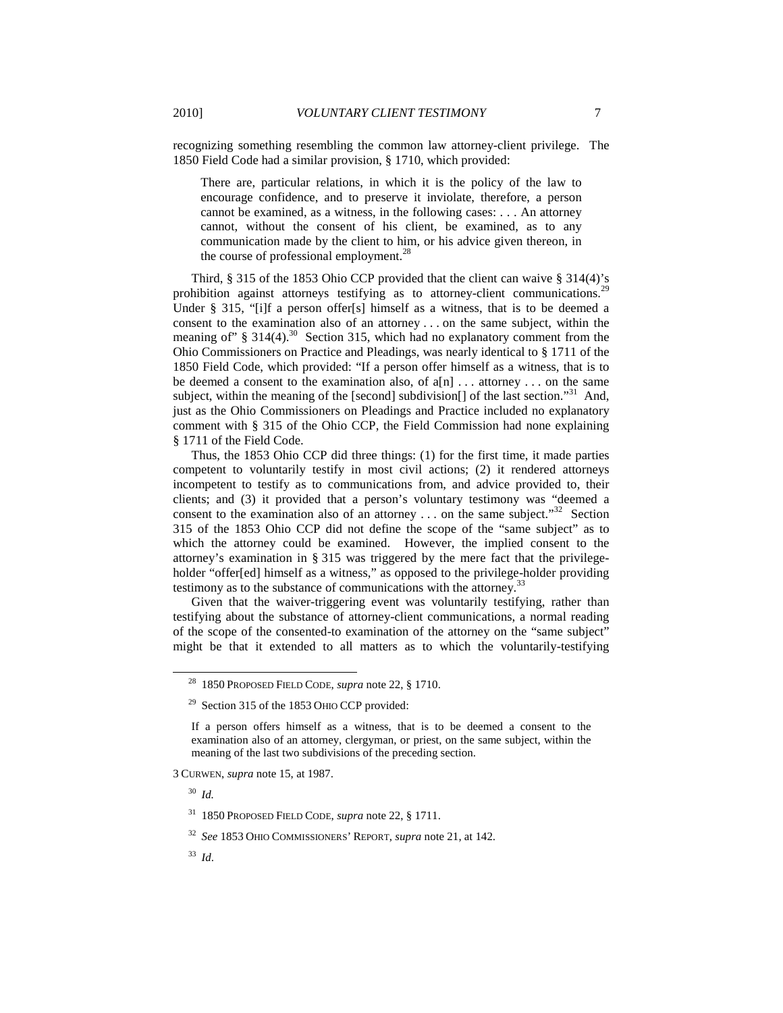recognizing something resembling the common law attorney-client privilege. The 1850 Field Code had a similar provision, § 1710, which provided:

There are, particular relations, in which it is the policy of the law to encourage confidence, and to preserve it inviolate, therefore, a person cannot be examined, as a witness, in the following cases: . . . An attorney cannot, without the consent of his client, be examined, as to any communication made by the client to him, or his advice given thereon, in the course of professional employment.<sup>28</sup>

Third, § 315 of the 1853 Ohio CCP provided that the client can waive § 314(4)'s prohibition against attorneys testifying as to attorney-client communications.<sup>29</sup> Under § 315, "[i]f a person offer[s] himself as a witness, that is to be deemed a consent to the examination also of an attorney . . . on the same subject, within the meaning of"  $\S$  314(4).<sup>30</sup> Section 315, which had no explanatory comment from the Ohio Commissioners on Practice and Pleadings, was nearly identical to § 1711 of the 1850 Field Code, which provided: "If a person offer himself as a witness, that is to be deemed a consent to the examination also, of  $a[n]$ ... attorney ... on the same subject, within the meaning of the [second] subdivision[] of the last section.<sup>31</sup> And, just as the Ohio Commissioners on Pleadings and Practice included no explanatory comment with § 315 of the Ohio CCP, the Field Commission had none explaining § 1711 of the Field Code.

Thus, the 1853 Ohio CCP did three things: (1) for the first time, it made parties competent to voluntarily testify in most civil actions; (2) it rendered attorneys incompetent to testify as to communications from, and advice provided to, their clients; and (3) it provided that a person's voluntary testimony was "deemed a consent to the examination also of an attorney . . . on the same subject."<sup>32</sup> Section 315 of the 1853 Ohio CCP did not define the scope of the "same subject" as to which the attorney could be examined. However, the implied consent to the attorney's examination in § 315 was triggered by the mere fact that the privilegeholder "offer[ed] himself as a witness," as opposed to the privilege-holder providing testimony as to the substance of communications with the attorney.<sup>33</sup>

Given that the waiver-triggering event was voluntarily testifying, rather than testifying about the substance of attorney-client communications, a normal reading of the scope of the consented-to examination of the attorney on the "same subject" might be that it extended to all matters as to which the voluntarily-testifying

<sup>30</sup> *Id.*

<sup>28</sup> 1850 PROPOSED FIELD CODE, *supra* note 22, § 1710.

 $29$  Section 315 of the 1853 OHIO CCP provided:

If a person offers himself as a witness, that is to be deemed a consent to the examination also of an attorney, clergyman, or priest, on the same subject, within the meaning of the last two subdivisions of the preceding section.

<sup>3</sup> CURWEN, *supra* note 15, at 1987.

<sup>31</sup> 1850 PROPOSED FIELD CODE, *supra* note 22, § 1711.

<sup>32</sup> *See* 1853 OHIO COMMISSIONERS' REPORT, *supra* note 21, at 142.

<sup>33</sup> *Id*.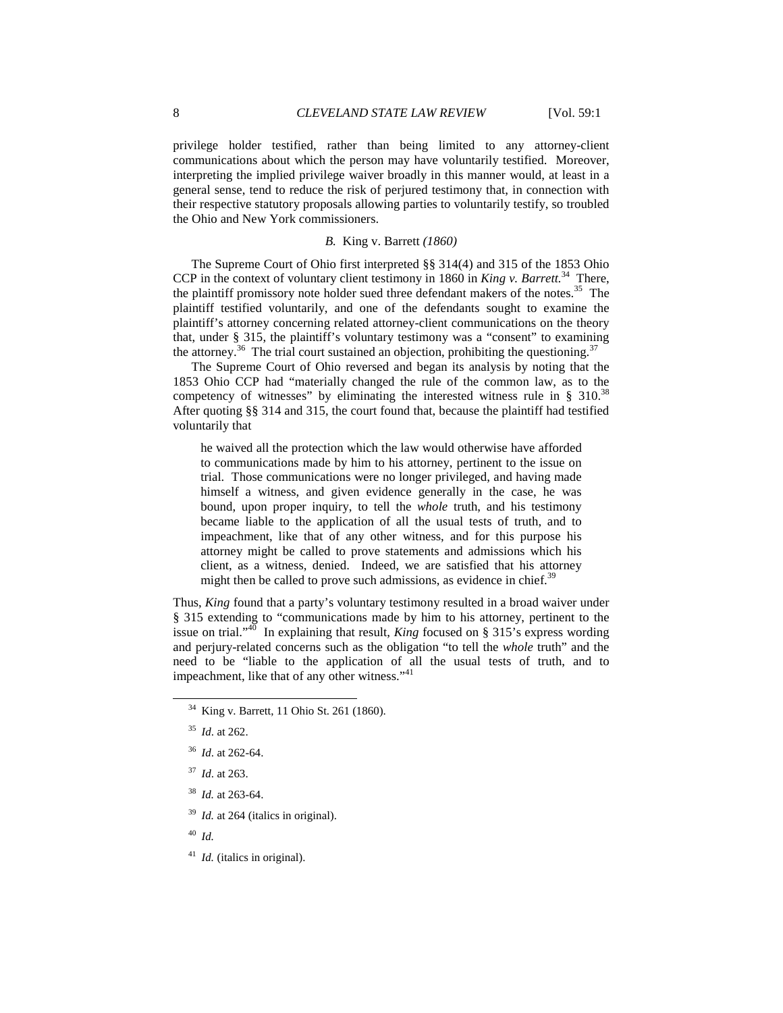privilege holder testified, rather than being limited to any attorney-client communications about which the person may have voluntarily testified. Moreover, interpreting the implied privilege waiver broadly in this manner would, at least in a general sense, tend to reduce the risk of perjured testimony that, in connection with their respective statutory proposals allowing parties to voluntarily testify, so troubled the Ohio and New York commissioners.

## *B.* King v. Barrett *(1860)*

The Supreme Court of Ohio first interpreted §§ 314(4) and 315 of the 1853 Ohio CCP in the context of voluntary client testimony in 1860 in *King v. Barrett.*<sup>34</sup> There, the plaintiff promissory note holder sued three defendant makers of the notes.<sup>35</sup> The plaintiff testified voluntarily, and one of the defendants sought to examine the plaintiff's attorney concerning related attorney-client communications on the theory that, under § 315, the plaintiff's voluntary testimony was a "consent" to examining the attorney.<sup>36</sup> The trial court sustained an objection, prohibiting the questioning.<sup>37</sup>

The Supreme Court of Ohio reversed and began its analysis by noting that the 1853 Ohio CCP had "materially changed the rule of the common law, as to the competency of witnesses" by eliminating the interested witness rule in  $\S$  310.<sup>38</sup> After quoting §§ 314 and 315, the court found that, because the plaintiff had testified voluntarily that

he waived all the protection which the law would otherwise have afforded to communications made by him to his attorney, pertinent to the issue on trial. Those communications were no longer privileged, and having made himself a witness, and given evidence generally in the case, he was bound, upon proper inquiry, to tell the *whole* truth, and his testimony became liable to the application of all the usual tests of truth, and to impeachment, like that of any other witness, and for this purpose his attorney might be called to prove statements and admissions which his client, as a witness, denied. Indeed, we are satisfied that his attorney might then be called to prove such admissions, as evidence in chief.<sup>39</sup>

Thus, *King* found that a party's voluntary testimony resulted in a broad waiver under § 315 extending to "communications made by him to his attorney, pertinent to the issue on trial."<sup>40</sup> In explaining that result, *King* focused on § 315's express wording and perjury-related concerns such as the obligation "to tell the *whole* truth" and the need to be "liable to the application of all the usual tests of truth, and to impeachment, like that of any other witness."<sup>41</sup>

-

- <sup>37</sup> *Id*. at 263.
- <sup>38</sup> *Id.* at 263-64.
- <sup>39</sup> *Id.* at 264 (italics in original).

<sup>40</sup> *Id.*

<sup>41</sup> *Id.* (italics in original).

<sup>34</sup> King v. Barrett, 11 Ohio St. 261 (1860).

<sup>35</sup> *Id*. at 262.

<sup>36</sup> *Id*. at 262-64.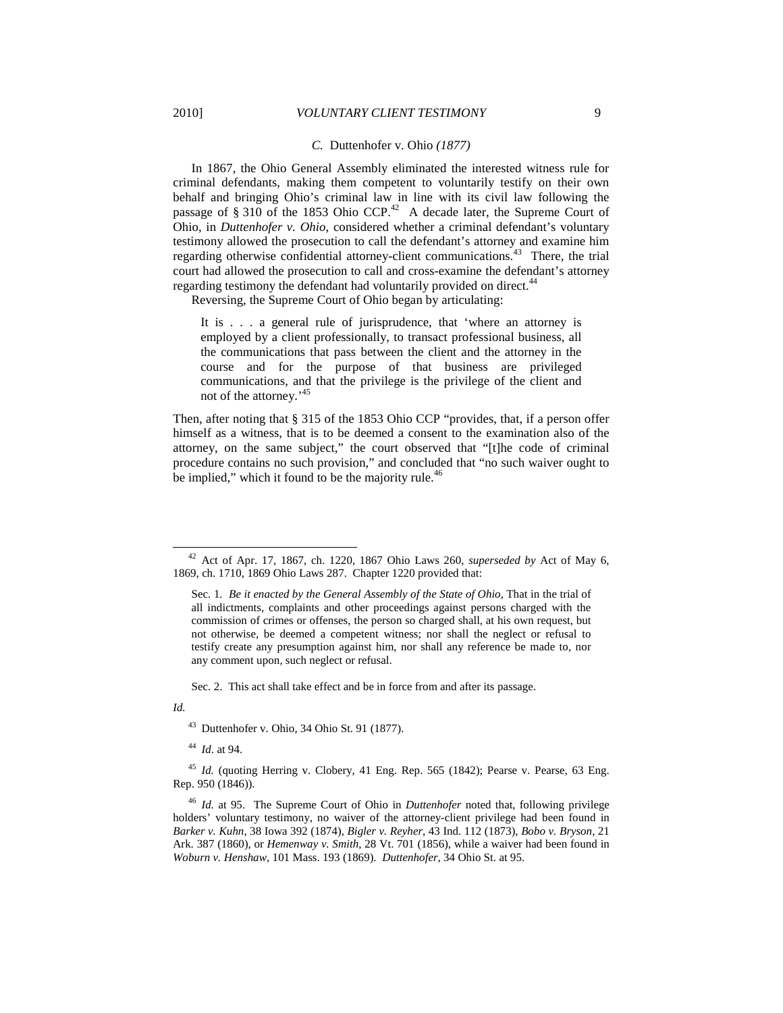### *C.* Duttenhofer v. Ohio *(1877)*

In 1867, the Ohio General Assembly eliminated the interested witness rule for criminal defendants, making them competent to voluntarily testify on their own behalf and bringing Ohio's criminal law in line with its civil law following the passage of  $\S 310$  of the 1853 Ohio CCP.<sup>42</sup> A decade later, the Supreme Court of Ohio, in *Duttenhofer v. Ohio*, considered whether a criminal defendant's voluntary testimony allowed the prosecution to call the defendant's attorney and examine him regarding otherwise confidential attorney-client communications.<sup>43</sup> There, the trial court had allowed the prosecution to call and cross-examine the defendant's attorney regarding testimony the defendant had voluntarily provided on direct.<sup>44</sup>

Reversing, the Supreme Court of Ohio began by articulating:

It is . . . a general rule of jurisprudence, that 'where an attorney is employed by a client professionally, to transact professional business, all the communications that pass between the client and the attorney in the course and for the purpose of that business are privileged communications, and that the privilege is the privilege of the client and not of the attorney.<sup>45</sup>

Then, after noting that § 315 of the 1853 Ohio CCP "provides, that, if a person offer himself as a witness, that is to be deemed a consent to the examination also of the attorney, on the same subject," the court observed that "[t]he code of criminal procedure contains no such provision," and concluded that "no such waiver ought to be implied," which it found to be the majority rule.<sup>46</sup>

Sec. 2. This act shall take effect and be in force from and after its passage.

*Id.*

-

<sup>44</sup> *Id*. at 94.

<sup>42</sup> Act of Apr. 17, 1867, ch. 1220, 1867 Ohio Laws 260, *superseded by* Act of May 6, 1869, ch. 1710, 1869 Ohio Laws 287. Chapter 1220 provided that:

Sec. 1*. Be it enacted by the General Assembly of the State of Ohio*, That in the trial of all indictments, complaints and other proceedings against persons charged with the commission of crimes or offenses, the person so charged shall, at his own request, but not otherwise, be deemed a competent witness; nor shall the neglect or refusal to testify create any presumption against him, nor shall any reference be made to, nor any comment upon, such neglect or refusal.

<sup>43</sup> Duttenhofer v. Ohio, 34 Ohio St. 91 (1877).

<sup>&</sup>lt;sup>45</sup> *Id.* (quoting Herring v. Clobery, 41 Eng. Rep. 565 (1842); Pearse v. Pearse, 63 Eng. Rep. 950 (1846)).

<sup>46</sup> *Id.* at 95. The Supreme Court of Ohio in *Duttenhofer* noted that, following privilege holders' voluntary testimony, no waiver of the attorney-client privilege had been found in *Barker v. Kuhn*, 38 Iowa 392 (1874), *Bigler v. Reyher*, 43 Ind. 112 (1873), *Bobo v. Bryson*, 21 Ark. 387 (1860), or *Hemenway v. Smith*, 28 Vt. 701 (1856), while a waiver had been found in *Woburn v. Henshaw*, 101 Mass. 193 (1869). *Duttenhofer*, 34 Ohio St. at 95.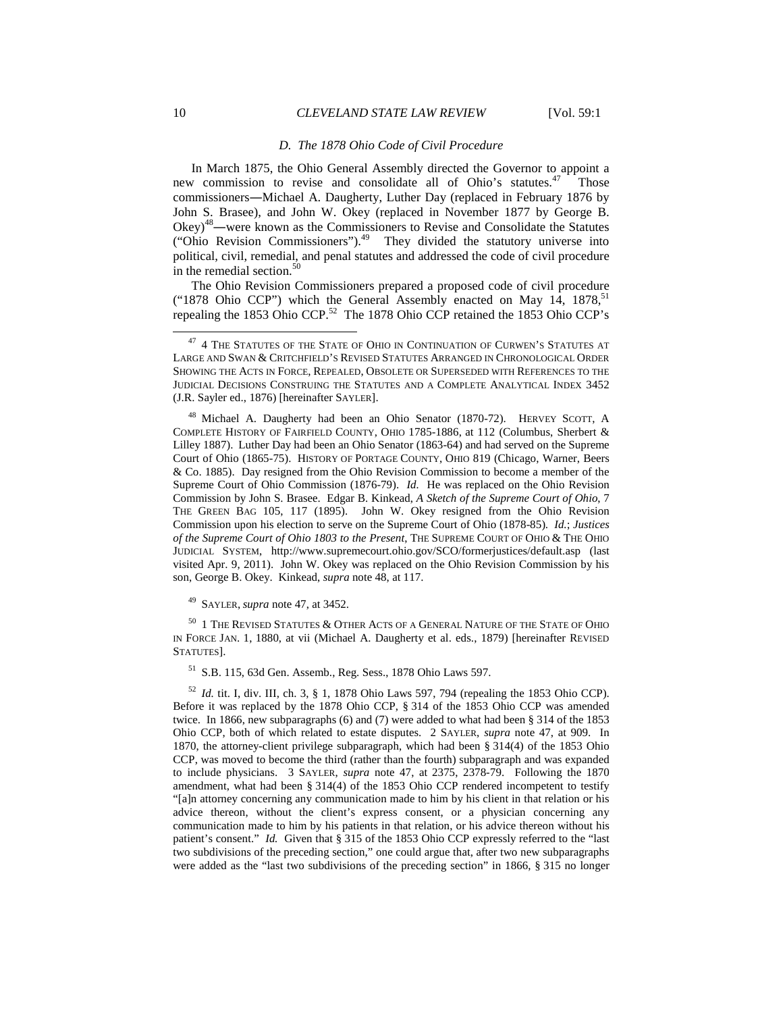#### *D. The 1878 Ohio Code of Civil Procedure*

In March 1875, the Ohio General Assembly directed the Governor to appoint a new commission to revise and consolidate all of Ohio's statutes.<sup>47</sup> Those commissioners―Michael A. Daugherty, Luther Day (replaced in February 1876 by John S. Brasee), and John W. Okey (replaced in November 1877 by George B. Okey)<sup>48</sup>―were known as the Commissioners to Revise and Consolidate the Statutes ("Ohio Revision Commissioners").<sup>49</sup> They divided the statutory universe into political, civil, remedial, and penal statutes and addressed the code of civil procedure in the remedial section.<sup>50</sup>

The Ohio Revision Commissioners prepared a proposed code of civil procedure ("1878 Ohio CCP") which the General Assembly enacted on May 14,  $1878$ ,  $^{51}$ repealing the 1853 Ohio CCP.<sup>52</sup> The 1878 Ohio CCP retained the 1853 Ohio CCP's

<sup>48</sup> Michael A. Daugherty had been an Ohio Senator (1870-72). HERVEY SCOTT, A COMPLETE HISTORY OF FAIRFIELD COUNTY, OHIO 1785-1886, at 112 (Columbus, Sherbert & Lilley 1887). Luther Day had been an Ohio Senator (1863-64) and had served on the Supreme Court of Ohio (1865-75). HISTORY OF PORTAGE COUNTY, OHIO 819 (Chicago, Warner, Beers & Co. 1885). Day resigned from the Ohio Revision Commission to become a member of the Supreme Court of Ohio Commission (1876-79). *Id.* He was replaced on the Ohio Revision Commission by John S. Brasee. Edgar B. Kinkead, *A Sketch of the Supreme Court of Ohio*, 7 THE GREEN BAG 105, 117 (1895). John W. Okey resigned from the Ohio Revision Commission upon his election to serve on the Supreme Court of Ohio (1878-85). *Id.*; *Justices of the Supreme Court of Ohio 1803 to the Present*, THE SUPREME COURT OF OHIO & THE OHIO JUDICIAL SYSTEM, http://www.supremecourt.ohio.gov/SCO/formerjustices/default.asp (last visited Apr. 9, 2011). John W. Okey was replaced on the Ohio Revision Commission by his son, George B. Okey. Kinkead, *supra* note 48, at 117.

<sup>49</sup> SAYLER, *supra* note 47, at 3452.

 $^{50}\,$  1 The Revised Statutes & Other Acts of a General Nature of the State of Ohio IN FORCE JAN. 1, 1880, at vii (Michael A. Daugherty et al. eds., 1879) [hereinafter REVISED STATUTES].

<sup>51</sup> S.B. 115, 63d Gen. Assemb., Reg. Sess., 1878 Ohio Laws 597.

<sup>52</sup> *Id.* tit. I, div. III, ch. 3, § 1, 1878 Ohio Laws 597, 794 (repealing the 1853 Ohio CCP). Before it was replaced by the 1878 Ohio CCP, § 314 of the 1853 Ohio CCP was amended twice. In 1866, new subparagraphs (6) and (7) were added to what had been § 314 of the 1853 Ohio CCP, both of which related to estate disputes. 2 SAYLER, *supra* note 47, at 909. In 1870, the attorney-client privilege subparagraph, which had been § 314(4) of the 1853 Ohio CCP, was moved to become the third (rather than the fourth) subparagraph and was expanded to include physicians. 3 SAYLER, *supra* note 47, at 2375, 2378-79. Following the 1870 amendment, what had been § 314(4) of the 1853 Ohio CCP rendered incompetent to testify "[a]n attorney concerning any communication made to him by his client in that relation or his advice thereon, without the client's express consent, or a physician concerning any communication made to him by his patients in that relation, or his advice thereon without his patient's consent." *Id.* Given that § 315 of the 1853 Ohio CCP expressly referred to the "last two subdivisions of the preceding section," one could argue that, after two new subparagraphs were added as the "last two subdivisions of the preceding section" in 1866, § 315 no longer

 $^{47}$  4 THE STATUTES OF THE STATE OF OHIO IN CONTINUATION OF CURWEN'S STATUTES AT LARGE AND SWAN & CRITCHFIELD'S REVISED STATUTES ARRANGED IN CHRONOLOGICAL ORDER SHOWING THE ACTS IN FORCE, REPEALED, OBSOLETE OR SUPERSEDED WITH REFERENCES TO THE JUDICIAL DECISIONS CONSTRUING THE STATUTES AND A COMPLETE ANALYTICAL INDEX 3452 (J.R. Sayler ed., 1876) [hereinafter SAYLER].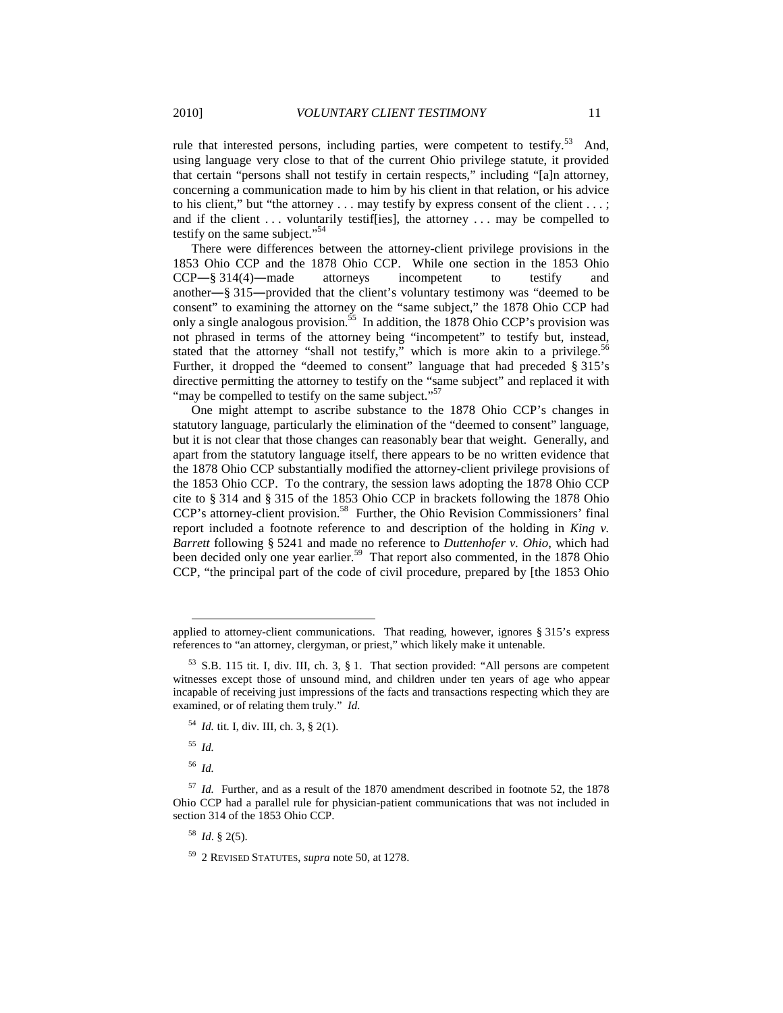rule that interested persons, including parties, were competent to testify.<sup>53</sup> And, using language very close to that of the current Ohio privilege statute, it provided that certain "persons shall not testify in certain respects," including "[a]n attorney, concerning a communication made to him by his client in that relation, or his advice to his client," but "the attorney . . . may testify by express consent of the client . . . ; and if the client . . . voluntarily testif[ies], the attorney . . . may be compelled to testify on the same subject."<sup>54</sup>

There were differences between the attorney-client privilege provisions in the 1853 Ohio CCP and the 1878 Ohio CCP. While one section in the 1853 Ohio CCP―§ 314(4)―made attorneys incompetent to testify and another―§ 315―provided that the client's voluntary testimony was "deemed to be consent" to examining the attorney on the "same subject," the 1878 Ohio CCP had only a single analogous provision.<sup>55</sup> In addition, the 1878 Ohio CCP's provision was not phrased in terms of the attorney being "incompetent" to testify but, instead, stated that the attorney "shall not testify," which is more akin to a privilege.<sup>5</sup> Further, it dropped the "deemed to consent" language that had preceded § 315's directive permitting the attorney to testify on the "same subject" and replaced it with "may be compelled to testify on the same subject."<sup>57</sup>

One might attempt to ascribe substance to the 1878 Ohio CCP's changes in statutory language, particularly the elimination of the "deemed to consent" language, but it is not clear that those changes can reasonably bear that weight. Generally, and apart from the statutory language itself, there appears to be no written evidence that the 1878 Ohio CCP substantially modified the attorney-client privilege provisions of the 1853 Ohio CCP. To the contrary, the session laws adopting the 1878 Ohio CCP cite to § 314 and § 315 of the 1853 Ohio CCP in brackets following the 1878 Ohio CCP's attorney-client provision.<sup>58</sup> Further, the Ohio Revision Commissioners' final report included a footnote reference to and description of the holding in *King v. Barrett* following § 5241 and made no reference to *Duttenhofer v. Ohio*, which had been decided only one year earlier.<sup>59</sup> That report also commented, in the 1878 Ohio CCP, "the principal part of the code of civil procedure, prepared by [the 1853 Ohio

<sup>55</sup> *Id.*

l

<sup>56</sup> *Id.*

<sup>58</sup> *Id*. § 2(5).

applied to attorney-client communications. That reading, however, ignores § 315's express references to "an attorney, clergyman, or priest," which likely make it untenable.

 $53$  S.B. 115 tit. I, div. III, ch. 3, § 1. That section provided: "All persons are competent witnesses except those of unsound mind, and children under ten years of age who appear incapable of receiving just impressions of the facts and transactions respecting which they are examined, or of relating them truly." *Id.* 

<sup>54</sup> *Id.* tit. I, div. III, ch. 3, § 2(1).

<sup>57</sup> *Id.* Further, and as a result of the 1870 amendment described in footnote 52, the 1878 Ohio CCP had a parallel rule for physician-patient communications that was not included in section 314 of the 1853 Ohio CCP.

<sup>59</sup> 2 REVISED STATUTES, *supra* note 50, at 1278.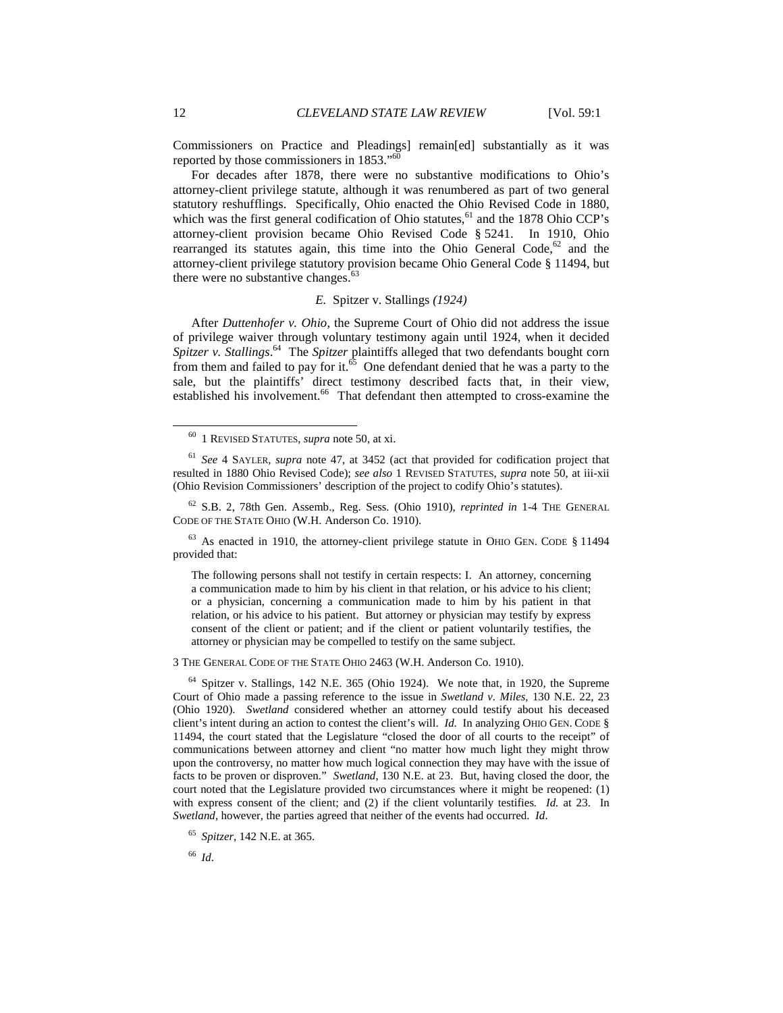Commissioners on Practice and Pleadings] remain[ed] substantially as it was reported by those commissioners in 1853."<sup>6</sup>

For decades after 1878, there were no substantive modifications to Ohio's attorney-client privilege statute, although it was renumbered as part of two general statutory reshufflings. Specifically, Ohio enacted the Ohio Revised Code in 1880, which was the first general codification of Ohio statutes, $61$  and the 1878 Ohio CCP's attorney-client provision became Ohio Revised Code § 5241. In 1910, Ohio rearranged its statutes again, this time into the Ohio General Code,<sup>62</sup> and the attorney-client privilege statutory provision became Ohio General Code § 11494, but there were no substantive changes. $63$ 

## *E.* Spitzer v. Stallings *(1924)*

After *Duttenhofer v. Ohio*, the Supreme Court of Ohio did not address the issue of privilege waiver through voluntary testimony again until 1924, when it decided *Spitzer v. Stallings*. <sup>64</sup> The *Spitzer* plaintiffs alleged that two defendants bought corn from them and failed to pay for it. $65$  One defendant denied that he was a party to the sale, but the plaintiffs' direct testimony described facts that, in their view, established his involvement.<sup>66</sup> That defendant then attempted to cross-examine the

 $63$  As enacted in 1910, the attorney-client privilege statute in OHIO GEN. CODE § 11494 provided that:

The following persons shall not testify in certain respects: I. An attorney, concerning a communication made to him by his client in that relation, or his advice to his client; or a physician, concerning a communication made to him by his patient in that relation, or his advice to his patient. But attorney or physician may testify by express consent of the client or patient; and if the client or patient voluntarily testifies, the attorney or physician may be compelled to testify on the same subject.

3 THE GENERAL CODE OF THE STATE OHIO 2463 (W.H. Anderson Co. 1910).

<sup>64</sup> Spitzer v. Stallings, 142 N.E. 365 (Ohio 1924). We note that, in 1920, the Supreme Court of Ohio made a passing reference to the issue in *Swetland v. Miles*, 130 N.E. 22, 23 (Ohio 1920). *Swetland* considered whether an attorney could testify about his deceased client's intent during an action to contest the client's will. *Id*. In analyzing OHIO GEN. CODE § 11494, the court stated that the Legislature "closed the door of all courts to the receipt" of communications between attorney and client "no matter how much light they might throw upon the controversy, no matter how much logical connection they may have with the issue of facts to be proven or disproven*.*" *Swetland*, 130 N.E. at 23. But, having closed the door, the court noted that the Legislature provided two circumstances where it might be reopened: (1) with express consent of the client; and (2) if the client voluntarily testifies*. Id.* at 23. In *Swetland*, however, the parties agreed that neither of the events had occurred. *Id*.

<sup>66</sup> *Id*.

<sup>60</sup> 1 REVISED STATUTES, *supra* note 50, at xi.

<sup>61</sup> *See* 4 SAYLER, *supra* note 47, at 3452 (act that provided for codification project that resulted in 1880 Ohio Revised Code); *see also* 1 REVISED STATUTES, *supra* note 50, at iii-xii (Ohio Revision Commissioners' description of the project to codify Ohio's statutes).

<sup>62</sup> S.B. 2, 78th Gen. Assemb., Reg. Sess. (Ohio 1910), *reprinted in* 1-4 THE GENERAL CODE OF THE STATE OHIO (W.H. Anderson Co. 1910).

<sup>65</sup> *Spitzer*, 142 N.E. at 365.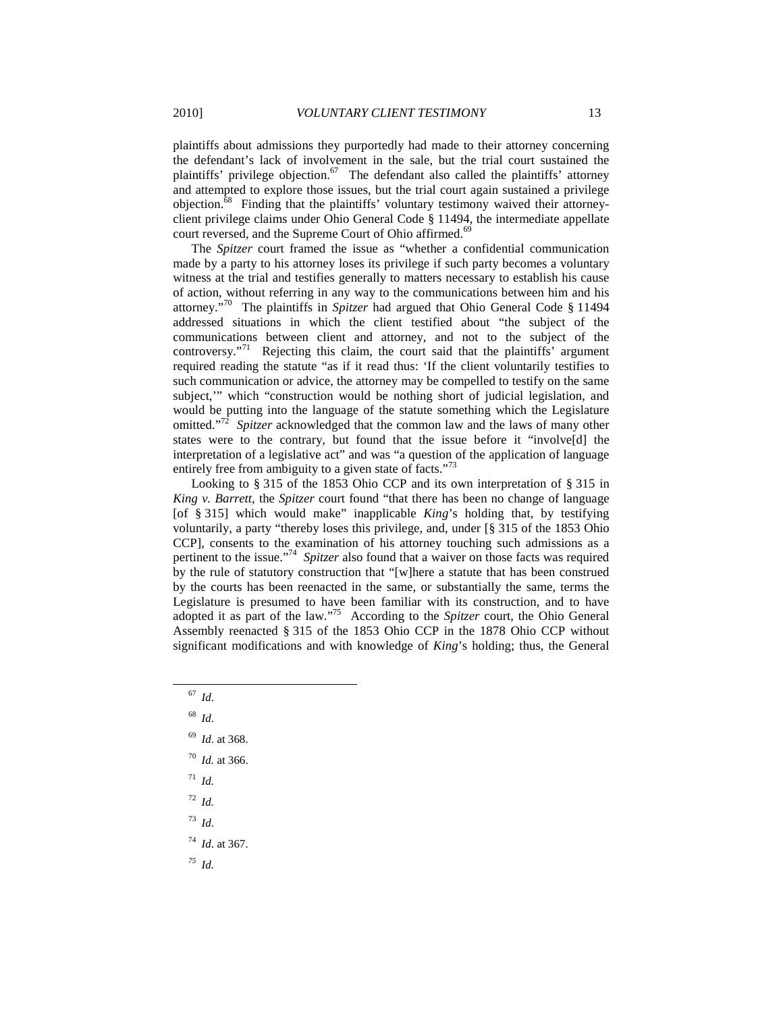plaintiffs about admissions they purportedly had made to their attorney concerning the defendant's lack of involvement in the sale, but the trial court sustained the plaintiffs' privilege objection.<sup>67</sup> The defendant also called the plaintiffs' attorney and attempted to explore those issues, but the trial court again sustained a privilege objection.<sup>68</sup> Finding that the plaintiffs' voluntary testimony waived their attorneyclient privilege claims under Ohio General Code § 11494, the intermediate appellate court reversed, and the Supreme Court of Ohio affirmed.<sup>69</sup>

The *Spitzer* court framed the issue as "whether a confidential communication made by a party to his attorney loses its privilege if such party becomes a voluntary witness at the trial and testifies generally to matters necessary to establish his cause of action, without referring in any way to the communications between him and his attorney."<sup>70</sup> The plaintiffs in *Spitzer* had argued that Ohio General Code § 11494 addressed situations in which the client testified about "the subject of the communications between client and attorney, and not to the subject of the controversy."<sup>71</sup> Rejecting this claim, the court said that the plaintiffs' argument required reading the statute "as if it read thus: 'If the client voluntarily testifies to such communication or advice, the attorney may be compelled to testify on the same subject,'" which "construction would be nothing short of judicial legislation, and would be putting into the language of the statute something which the Legislature omitted."<sup>72</sup> Spitzer acknowledged that the common law and the laws of many other states were to the contrary, but found that the issue before it "involve[d] the interpretation of a legislative act" and was "a question of the application of language entirely free from ambiguity to a given state of facts."<sup>73</sup>

Looking to § 315 of the 1853 Ohio CCP and its own interpretation of § 315 in *King v. Barrett*, the *Spitzer* court found "that there has been no change of language [of § 315] which would make" inapplicable *King*'s holding that, by testifying voluntarily, a party "thereby loses this privilege, and, under [§ 315 of the 1853 Ohio CCP], consents to the examination of his attorney touching such admissions as a pertinent to the issue."<sup>74</sup> *Spitzer* also found that a waiver on those facts was required by the rule of statutory construction that "[w]here a statute that has been construed by the courts has been reenacted in the same, or substantially the same, terms the Legislature is presumed to have been familiar with its construction, and to have adopted it as part of the law."<sup>75</sup> According to the *Spitzer* court, the Ohio General Assembly reenacted § 315 of the 1853 Ohio CCP in the 1878 Ohio CCP without significant modifications and with knowledge of *King*'s holding; thus, the General

<sup>67</sup> *Id*.

l

- <sup>68</sup> *Id*.
- <sup>69</sup> *Id*. at 368.
- <sup>70</sup> *Id.* at 366.
- <sup>71</sup> *Id.*
- <sup>72</sup> *Id.*
- <sup>73</sup> *Id*.
- <sup>74</sup> *Id*. at 367.
- *<sup>75</sup> Id.*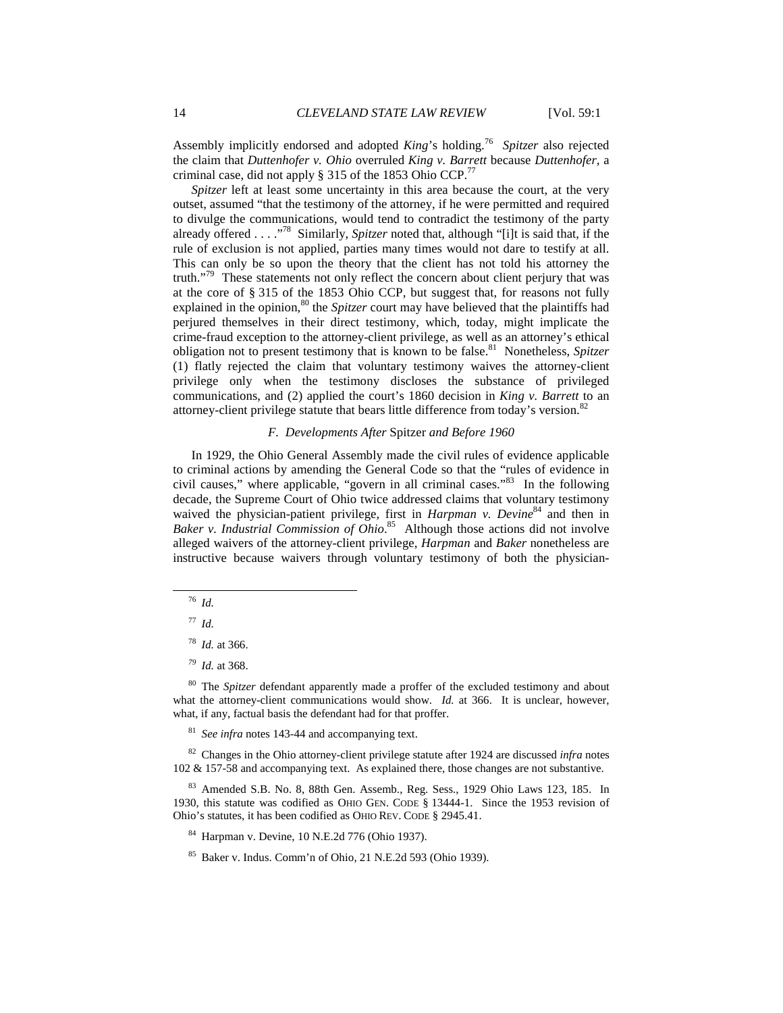Assembly implicitly endorsed and adopted *King*'s holding.<sup>76</sup> *Spitzer* also rejected the claim that *Duttenhofer v. Ohio* overruled *King v. Barrett* because *Duttenhofer*, a criminal case, did not apply  $\S 315$  of the 1853 Ohio CCP.<sup>77</sup>

*Spitzer* left at least some uncertainty in this area because the court, at the very outset, assumed "that the testimony of the attorney, if he were permitted and required to divulge the communications, would tend to contradict the testimony of the party already offered . . . ."<sup>78</sup> Similarly, *Spitzer* noted that, although "[i]t is said that, if the rule of exclusion is not applied, parties many times would not dare to testify at all. This can only be so upon the theory that the client has not told his attorney the truth."<sup>79</sup> These statements not only reflect the concern about client perjury that was at the core of § 315 of the 1853 Ohio CCP, but suggest that, for reasons not fully explained in the opinion,<sup>80</sup> the *Spitzer* court may have believed that the plaintiffs had perjured themselves in their direct testimony, which, today, might implicate the crime-fraud exception to the attorney-client privilege, as well as an attorney's ethical obligation not to present testimony that is known to be false.<sup>81</sup> Nonetheless, Spitzer (1) flatly rejected the claim that voluntary testimony waives the attorney-client privilege only when the testimony discloses the substance of privileged communications, and (2) applied the court's 1860 decision in *King v. Barrett* to an attorney-client privilege statute that bears little difference from today's version.<sup>82</sup>

# *F. Developments After* Spitzer *and Before 1960*

In 1929, the Ohio General Assembly made the civil rules of evidence applicable to criminal actions by amending the General Code so that the "rules of evidence in civil causes," where applicable, "govern in all criminal cases."<sup>83</sup> In the following decade, the Supreme Court of Ohio twice addressed claims that voluntary testimony waived the physician-patient privilege, first in *Harpman v. Devine*<sup>84</sup> and then in *Baker v. Industrial Commission of Ohio*. <sup>85</sup> Although those actions did not involve alleged waivers of the attorney-client privilege, *Harpman* and *Baker* nonetheless are instructive because waivers through voluntary testimony of both the physician-

l

<sup>80</sup> The *Spitzer* defendant apparently made a proffer of the excluded testimony and about what the attorney-client communications would show. *Id.* at 366. It is unclear, however, what, if any, factual basis the defendant had for that proffer.

<sup>81</sup> *See infra* notes 143-44 and accompanying text.

<sup>82</sup> Changes in the Ohio attorney-client privilege statute after 1924 are discussed *infra* notes 102 & 157-58 and accompanying text. As explained there, those changes are not substantive.

<sup>83</sup> Amended S.B. No. 8, 88th Gen. Assemb., Reg. Sess., 1929 Ohio Laws 123, 185. In 1930, this statute was codified as OHIO GEN. CODE § 13444-1. Since the 1953 revision of Ohio's statutes, it has been codified as OHIO REV. CODE § 2945.41.

<sup>84</sup> Harpman v. Devine, 10 N.E.2d 776 (Ohio 1937).

<sup>76</sup> *Id.*

<sup>77</sup> *Id.* 

<sup>78</sup> *Id.* at 366.

*<sup>79</sup> Id.* at 368.

<sup>85</sup> Baker v. Indus. Comm'n of Ohio, 21 N.E.2d 593 (Ohio 1939).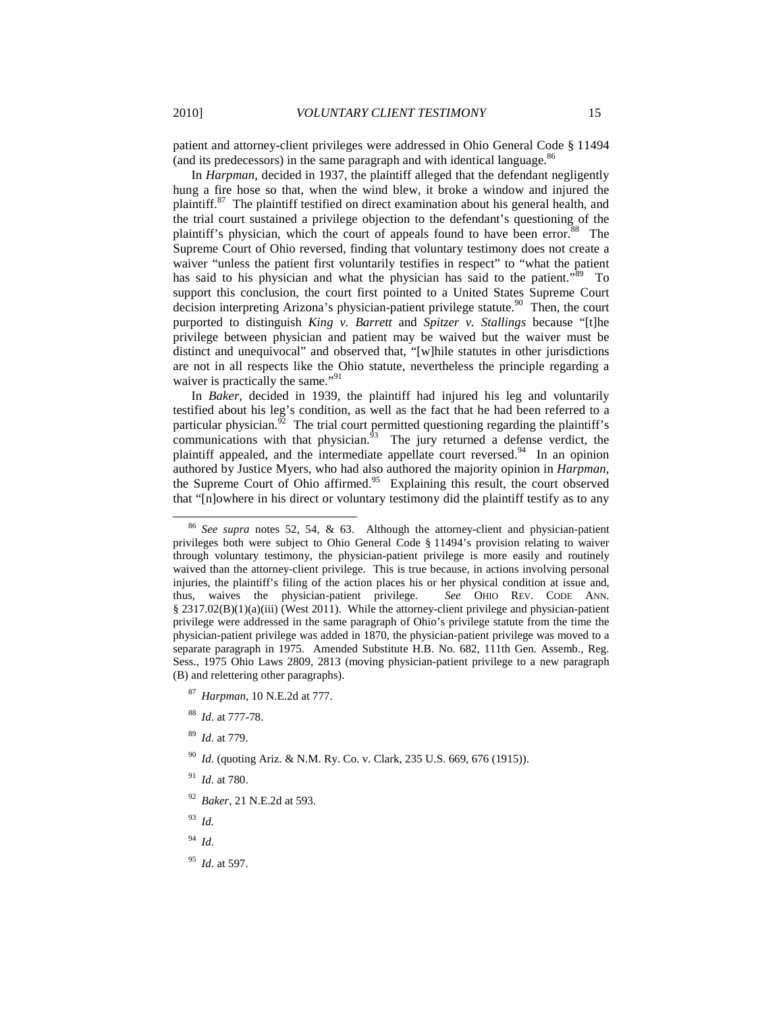patient and attorney-client privileges were addressed in Ohio General Code § 11494 (and its predecessors) in the same paragraph and with identical language.<sup>86</sup>

In *Harpman*, decided in 1937, the plaintiff alleged that the defendant negligently hung a fire hose so that, when the wind blew, it broke a window and injured the plaintiff.<sup>87</sup> The plaintiff testified on direct examination about his general health, and the trial court sustained a privilege objection to the defendant's questioning of the plaintiff's physician, which the court of appeals found to have been error.<sup>88</sup> The Supreme Court of Ohio reversed, finding that voluntary testimony does not create a waiver "unless the patient first voluntarily testifies in respect" to "what the patient has said to his physician and what the physician has said to the patient."<sup>89</sup> To support this conclusion, the court first pointed to a United States Supreme Court decision interpreting Arizona's physician-patient privilege statute.<sup>90</sup> Then, the court purported to distinguish *King v. Barrett* and *Spitzer v. Stallings* because "[t]he privilege between physician and patient may be waived but the waiver must be distinct and unequivocal" and observed that, "[w]hile statutes in other jurisdictions are not in all respects like the Ohio statute, nevertheless the principle regarding a waiver is practically the same."<sup>91</sup>

In *Baker*, decided in 1939, the plaintiff had injured his leg and voluntarily testified about his leg's condition, as well as the fact that he had been referred to a particular physician.<sup>92</sup> The trial court permitted questioning regarding the plaintiff's communications with that physician. $^{53}$  The jury returned a defense verdict, the plaintiff appealed, and the intermediate appellate court reversed.<sup>94</sup> In an opinion authored by Justice Myers, who had also authored the majority opinion in *Harpman*, the Supreme Court of Ohio affirmed.<sup>95</sup> Explaining this result, the court observed that "[n]owhere in his direct or voluntary testimony did the plaintiff testify as to any

- <sup>92</sup> *Baker*, 21 N.E.2d at 593.
- <sup>93</sup> *Id.*

- <sup>94</sup> *Id*.
- <sup>95</sup> *Id*. at 597.

<sup>86</sup> *See supra* notes 52, 54, & 63. Although the attorney-client and physician-patient privileges both were subject to Ohio General Code § 11494's provision relating to waiver through voluntary testimony, the physician-patient privilege is more easily and routinely waived than the attorney-client privilege. This is true because, in actions involving personal injuries, the plaintiff's filing of the action places his or her physical condition at issue and, thus, waives the physician-patient privilege. *See* OHIO REV. CODE ANN. § 2317.02(B)(1)(a)(iii) (West 2011). While the attorney-client privilege and physician-patient privilege were addressed in the same paragraph of Ohio's privilege statute from the time the physician-patient privilege was added in 1870, the physician-patient privilege was moved to a separate paragraph in 1975. Amended Substitute H.B. No. 682, 111th Gen. Assemb., Reg. Sess., 1975 Ohio Laws 2809, 2813 (moving physician-patient privilege to a new paragraph (B) and relettering other paragraphs).

<sup>87</sup> *Harpman*, 10 N.E.2d at 777.

<sup>88</sup> *Id*. at 777-78.

<sup>89</sup> *Id*. at 779.

<sup>90</sup> *Id*. (quoting Ariz. & N.M. Ry. Co. v. Clark, 235 U.S. 669, 676 (1915)).

<sup>91</sup> *Id*. at 780.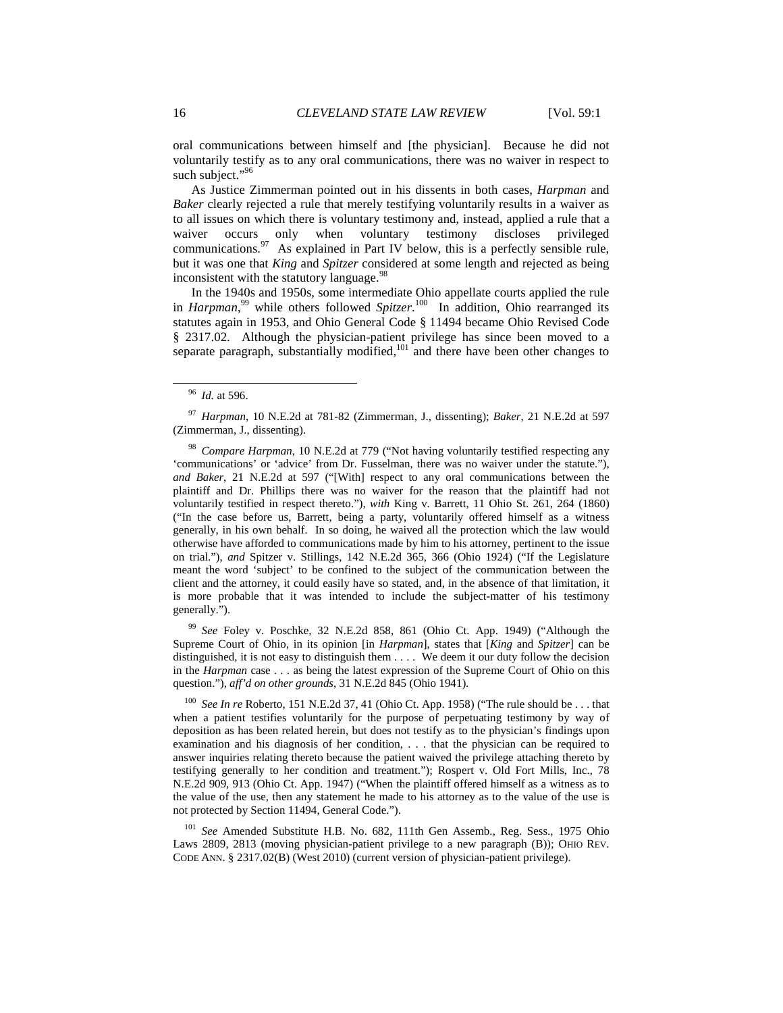oral communications between himself and [the physician]. Because he did not voluntarily testify as to any oral communications, there was no waiver in respect to such subject."<sup>96</sup>

As Justice Zimmerman pointed out in his dissents in both cases, *Harpman* and *Baker* clearly rejected a rule that merely testifying voluntarily results in a waiver as to all issues on which there is voluntary testimony and, instead, applied a rule that a waiver occurs only when voluntary testimony discloses privileged communications. $\frac{97}{10}$  As explained in Part IV below, this is a perfectly sensible rule, but it was one that *King* and *Spitzer* considered at some length and rejected as being inconsistent with the statutory language.<sup>98</sup>

In the 1940s and 1950s, some intermediate Ohio appellate courts applied the rule in *Harpman*,<sup>99</sup> while others followed *Spitzer*.<sup>100</sup> In addition, Ohio rearranged its statutes again in 1953, and Ohio General Code § 11494 became Ohio Revised Code § 2317.02. Although the physician-patient privilege has since been moved to a separate paragraph, substantially modified,<sup>101</sup> and there have been other changes to

l

<sup>99</sup> *See* Foley v. Poschke, 32 N.E.2d 858, 861 (Ohio Ct. App. 1949) ("Although the Supreme Court of Ohio, in its opinion [in *Harpman*], states that [*King* and *Spitzer*] can be distinguished, it is not easy to distinguish them . . . . We deem it our duty follow the decision in the *Harpman* case . . . as being the latest expression of the Supreme Court of Ohio on this question."), *aff'd on other grounds*, 31 N.E.2d 845 (Ohio 1941).

See In re Roberto, 151 N.E.2d 37, 41 (Ohio Ct. App. 1958) ("The rule should be . . . that when a patient testifies voluntarily for the purpose of perpetuating testimony by way of deposition as has been related herein, but does not testify as to the physician's findings upon examination and his diagnosis of her condition, . . . that the physician can be required to answer inquiries relating thereto because the patient waived the privilege attaching thereto by testifying generally to her condition and treatment."); Rospert v. Old Fort Mills, Inc., 78 N.E.2d 909, 913 (Ohio Ct. App. 1947) ("When the plaintiff offered himself as a witness as to the value of the use, then any statement he made to his attorney as to the value of the use is not protected by Section 11494, General Code.").

<sup>101</sup> *See* Amended Substitute H.B. No. 682, 111th Gen Assemb., Reg. Sess., 1975 Ohio Laws 2809, 2813 (moving physician-patient privilege to a new paragraph (B)); OHIO REV. CODE ANN. § 2317.02(B) (West 2010) (current version of physician-patient privilege).

<sup>96</sup> *Id.* at 596.

<sup>97</sup> *Harpman*, 10 N.E.2d at 781-82 (Zimmerman, J., dissenting); *Baker*, 21 N.E.2d at 597 (Zimmerman, J., dissenting).

<sup>98</sup> *Compare Harpman*, 10 N.E.2d at 779 ("Not having voluntarily testified respecting any 'communications' or 'advice' from Dr. Fusselman, there was no waiver under the statute."), *and Baker*, 21 N.E.2d at 597 ("[With] respect to any oral communications between the plaintiff and Dr. Phillips there was no waiver for the reason that the plaintiff had not voluntarily testified in respect thereto."), *with* King v. Barrett, 11 Ohio St. 261, 264 (1860) ("In the case before us, Barrett, being a party, voluntarily offered himself as a witness generally, in his own behalf. In so doing, he waived all the protection which the law would otherwise have afforded to communications made by him to his attorney, pertinent to the issue on trial."), *and* Spitzer v. Stillings, 142 N.E.2d 365, 366 (Ohio 1924) ("If the Legislature meant the word 'subject' to be confined to the subject of the communication between the client and the attorney, it could easily have so stated, and, in the absence of that limitation, it is more probable that it was intended to include the subject-matter of his testimony generally.").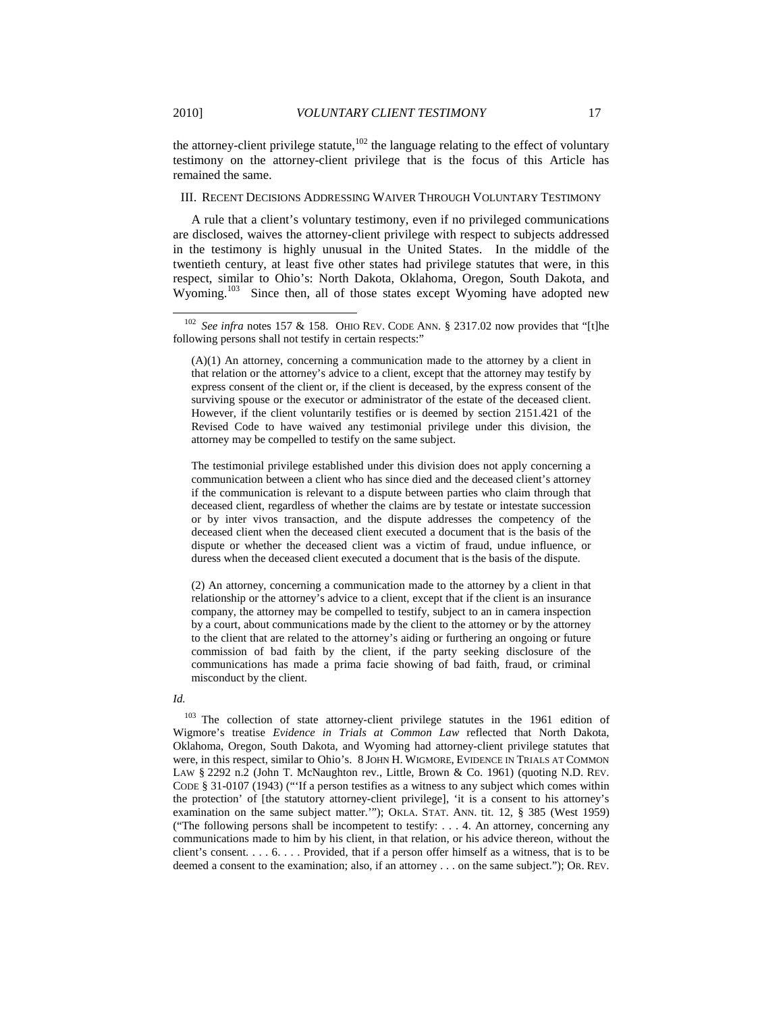the attorney-client privilege statute,<sup>102</sup> the language relating to the effect of voluntary testimony on the attorney-client privilege that is the focus of this Article has remained the same.

# III. RECENT DECISIONS ADDRESSING WAIVER THROUGH VOLUNTARY TESTIMONY

A rule that a client's voluntary testimony, even if no privileged communications are disclosed, waives the attorney-client privilege with respect to subjects addressed in the testimony is highly unusual in the United States. In the middle of the twentieth century, at least five other states had privilege statutes that were, in this respect, similar to Ohio's: North Dakota, Oklahoma, Oregon, South Dakota, and Wyoming.<sup>103</sup> Since then, all of those states except Wyoming have adopted new

The testimonial privilege established under this division does not apply concerning a communication between a client who has since died and the deceased client's attorney if the communication is relevant to a dispute between parties who claim through that deceased client, regardless of whether the claims are by testate or intestate succession or by inter vivos transaction, and the dispute addresses the competency of the deceased client when the deceased client executed a document that is the basis of the dispute or whether the deceased client was a victim of fraud, undue influence, or duress when the deceased client executed a document that is the basis of the dispute.

(2) An attorney, concerning a communication made to the attorney by a client in that relationship or the attorney's advice to a client, except that if the client is an insurance company, the attorney may be compelled to testify, subject to an in camera inspection by a court, about communications made by the client to the attorney or by the attorney to the client that are related to the attorney's aiding or furthering an ongoing or future commission of bad faith by the client, if the party seeking disclosure of the communications has made a prima facie showing of bad faith, fraud, or criminal misconduct by the client.

*Id.*

<sup>103</sup> The collection of state attorney-client privilege statutes in the 1961 edition of Wigmore's treatise *Evidence in Trials at Common Law* reflected that North Dakota, Oklahoma, Oregon, South Dakota, and Wyoming had attorney-client privilege statutes that were, in this respect, similar to Ohio's. 8 JOHN H. WIGMORE, EVIDENCE IN TRIALS AT COMMON LAW § 2292 n.2 (John T. McNaughton rev., Little, Brown & Co. 1961) (quoting N.D. REV. CODE § 31-0107 (1943) ("'If a person testifies as a witness to any subject which comes within the protection' of [the statutory attorney-client privilege], 'it is a consent to his attorney's examination on the same subject matter.'"); OKLA. STAT. ANN. tit. 12, § 385 (West 1959) ("The following persons shall be incompetent to testify:  $\dots$  4. An attorney, concerning any communications made to him by his client, in that relation, or his advice thereon, without the client's consent. . . . 6. . . . Provided, that if a person offer himself as a witness, that is to be deemed a consent to the examination; also, if an attorney . . . on the same subject."); OR. REV.

<sup>102</sup> *See infra* notes 157 & 158. OHIO REV. CODE ANN. § 2317.02 now provides that "[t]he following persons shall not testify in certain respects:"

<sup>(</sup>A)(1) An attorney, concerning a communication made to the attorney by a client in that relation or the attorney's advice to a client, except that the attorney may testify by express consent of the client or, if the client is deceased, by the express consent of the surviving spouse or the executor or administrator of the estate of the deceased client. However, if the client voluntarily testifies or is deemed by section 2151.421 of the Revised Code to have waived any testimonial privilege under this division, the attorney may be compelled to testify on the same subject.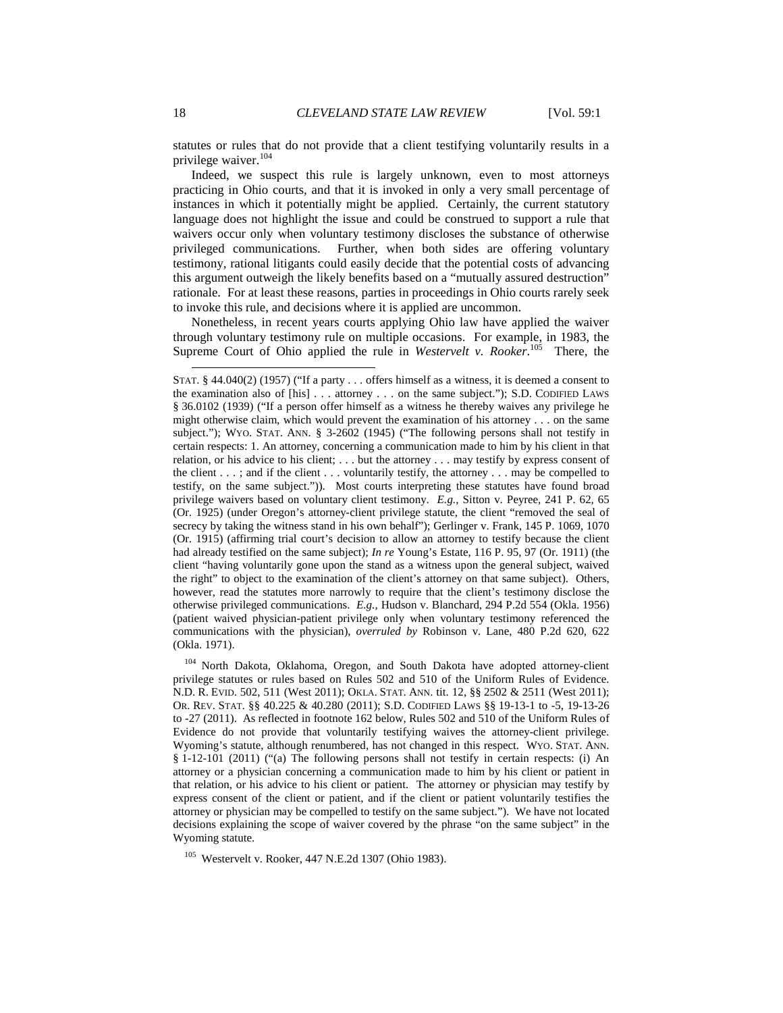statutes or rules that do not provide that a client testifying voluntarily results in a privilege waiver.<sup>104</sup>

Indeed, we suspect this rule is largely unknown, even to most attorneys practicing in Ohio courts, and that it is invoked in only a very small percentage of instances in which it potentially might be applied. Certainly, the current statutory language does not highlight the issue and could be construed to support a rule that waivers occur only when voluntary testimony discloses the substance of otherwise privileged communications. Further, when both sides are offering voluntary testimony, rational litigants could easily decide that the potential costs of advancing this argument outweigh the likely benefits based on a "mutually assured destruction" rationale. For at least these reasons, parties in proceedings in Ohio courts rarely seek to invoke this rule, and decisions where it is applied are uncommon.

Nonetheless, in recent years courts applying Ohio law have applied the waiver through voluntary testimony rule on multiple occasions. For example, in 1983, the Supreme Court of Ohio applied the rule in *Westervelt v. Rooker*. <sup>105</sup> There, the

<sup>104</sup> North Dakota, Oklahoma, Oregon, and South Dakota have adopted attorney-client privilege statutes or rules based on Rules 502 and 510 of the Uniform Rules of Evidence. N.D. R. EVID. 502, 511 (West 2011); OKLA. STAT. ANN. tit. 12, §§ 2502 & 2511 (West 2011); OR. REV. STAT. §§ 40.225 & 40.280 (2011); S.D. CODIFIED LAWS §§ 19-13-1 to -5, 19-13-26 to -27 (2011). As reflected in footnote 162 below, Rules 502 and 510 of the Uniform Rules of Evidence do not provide that voluntarily testifying waives the attorney-client privilege. Wyoming's statute, although renumbered, has not changed in this respect. WYO. STAT. ANN. § 1-12-101 (2011) ("(a) The following persons shall not testify in certain respects: (i) An attorney or a physician concerning a communication made to him by his client or patient in that relation, or his advice to his client or patient. The attorney or physician may testify by express consent of the client or patient, and if the client or patient voluntarily testifies the attorney or physician may be compelled to testify on the same subject."). We have not located decisions explaining the scope of waiver covered by the phrase "on the same subject" in the Wyoming statute.

<sup>105</sup> Westervelt v. Rooker, 447 N.E.2d 1307 (Ohio 1983).

 $\overline{a}$ 

STAT. § 44.040(2) (1957) ("If a party . . . offers himself as a witness, it is deemed a consent to the examination also of [his] . . . attorney . . . on the same subject."); S.D. CODIFIED LAWS § 36.0102 (1939) ("If a person offer himself as a witness he thereby waives any privilege he might otherwise claim, which would prevent the examination of his attorney . . . on the same subject."); WYO. STAT. ANN. § 3-2602 (1945) ("The following persons shall not testify in certain respects: 1. An attorney, concerning a communication made to him by his client in that relation, or his advice to his client; . . . but the attorney . . . may testify by express consent of the client . . . ; and if the client . . . voluntarily testify, the attorney . . . may be compelled to testify, on the same subject.")). Most courts interpreting these statutes have found broad privilege waivers based on voluntary client testimony. *E.g.*, Sitton v. Peyree, 241 P. 62, 65 (Or. 1925) (under Oregon's attorney-client privilege statute, the client "removed the seal of secrecy by taking the witness stand in his own behalf"); Gerlinger v. Frank, 145 P. 1069, 1070 (Or. 1915) (affirming trial court's decision to allow an attorney to testify because the client had already testified on the same subject); *In re* Young's Estate, 116 P. 95, 97 (Or. 1911) (the client "having voluntarily gone upon the stand as a witness upon the general subject, waived the right" to object to the examination of the client's attorney on that same subject). Others, however, read the statutes more narrowly to require that the client's testimony disclose the otherwise privileged communications. *E.g.*, Hudson v. Blanchard, 294 P.2d 554 (Okla. 1956) (patient waived physician-patient privilege only when voluntary testimony referenced the communications with the physician), *overruled by* Robinson v. Lane, 480 P.2d 620, 622 (Okla. 1971).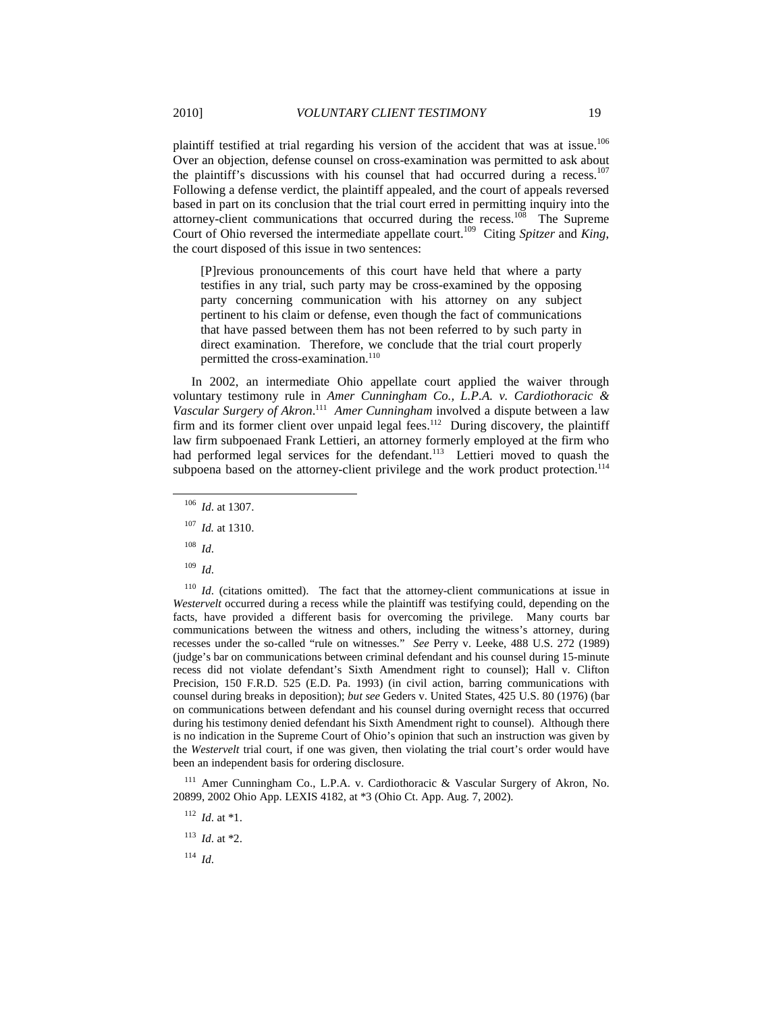plaintiff testified at trial regarding his version of the accident that was at issue.<sup>106</sup> Over an objection, defense counsel on cross-examination was permitted to ask about the plaintiff's discussions with his counsel that had occurred during a recess.<sup>107</sup> Following a defense verdict, the plaintiff appealed, and the court of appeals reversed based in part on its conclusion that the trial court erred in permitting inquiry into the attorney-client communications that occurred during the recess.<sup>108</sup> The Supreme Court of Ohio reversed the intermediate appellate court.<sup>109</sup> Citing *Spitzer* and *King*,

[P]revious pronouncements of this court have held that where a party testifies in any trial, such party may be cross-examined by the opposing party concerning communication with his attorney on any subject pertinent to his claim or defense, even though the fact of communications that have passed between them has not been referred to by such party in direct examination. Therefore, we conclude that the trial court properly permitted the cross-examination.<sup>110</sup>

In 2002, an intermediate Ohio appellate court applied the waiver through voluntary testimony rule in *Amer Cunningham Co., L.P.A. v. Cardiothoracic & Vascular Surgery of Akron*. 111 *Amer Cunningham* involved a dispute between a law firm and its former client over unpaid legal fees.<sup>112</sup> During discovery, the plaintiff law firm subpoenaed Frank Lettieri, an attorney formerly employed at the firm who had performed legal services for the defendant.<sup>113</sup> Lettieri moved to quash the subpoena based on the attorney-client privilege and the work product protection.<sup>114</sup>

<sup>108</sup> *Id*.

-

<sup>109</sup> *Id*.

<sup>110</sup> *Id.* (citations omitted). The fact that the attorney-client communications at issue in *Westervelt* occurred during a recess while the plaintiff was testifying could, depending on the facts, have provided a different basis for overcoming the privilege. Many courts bar communications between the witness and others, including the witness's attorney, during recesses under the so-called "rule on witnesses." *See* Perry v. Leeke, 488 U.S. 272 (1989) (judge's bar on communications between criminal defendant and his counsel during 15-minute recess did not violate defendant's Sixth Amendment right to counsel); Hall v. Clifton Precision, 150 F.R.D. 525 (E.D. Pa. 1993) (in civil action, barring communications with counsel during breaks in deposition); *but see* Geders v. United States, 425 U.S. 80 (1976) (bar on communications between defendant and his counsel during overnight recess that occurred during his testimony denied defendant his Sixth Amendment right to counsel). Although there is no indication in the Supreme Court of Ohio's opinion that such an instruction was given by the *Westervelt* trial court, if one was given, then violating the trial court's order would have been an independent basis for ordering disclosure.

 $111$  Amer Cunningham Co., L.P.A. v. Cardiothoracic & Vascular Surgery of Akron, No. 20899, 2002 Ohio App. LEXIS 4182, at \*3 (Ohio Ct. App. Aug. 7, 2002).

<sup>114</sup> *Id*.

the court disposed of this issue in two sentences:

<sup>106</sup> *Id*. at 1307.

<sup>107</sup> *Id.* at 1310.

<sup>112</sup> *Id*. at \*1.

<sup>113</sup> *Id*. at \*2.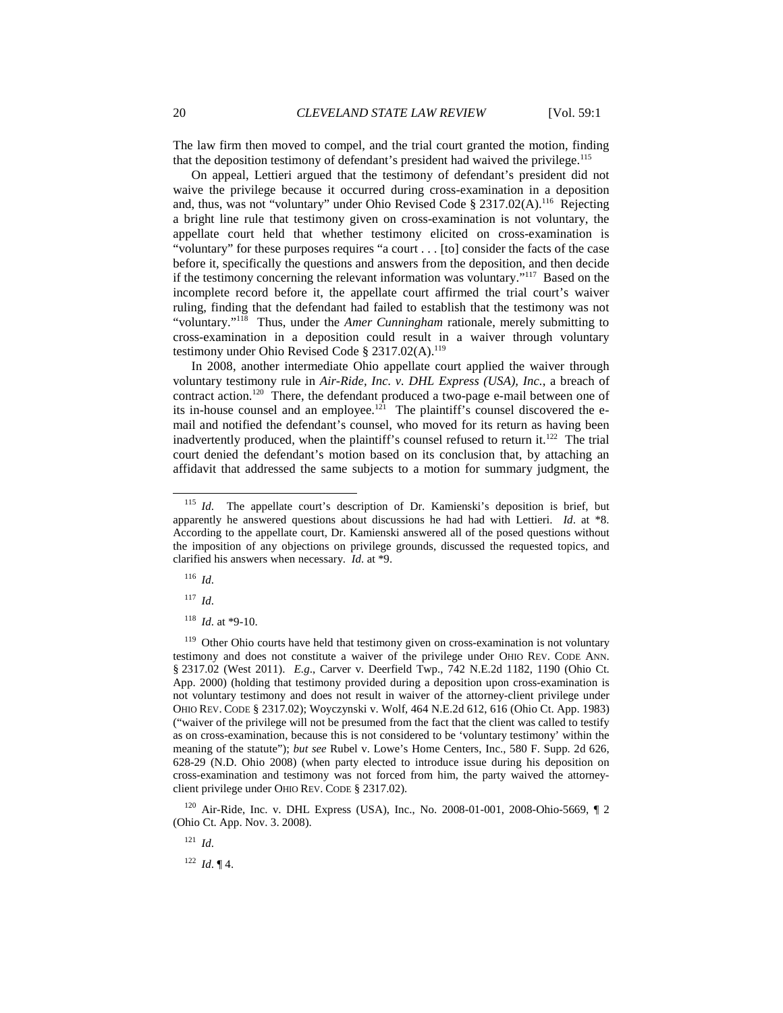The law firm then moved to compel, and the trial court granted the motion, finding that the deposition testimony of defendant's president had waived the privilege.<sup>115</sup>

On appeal, Lettieri argued that the testimony of defendant's president did not waive the privilege because it occurred during cross-examination in a deposition and, thus, was not "voluntary" under Ohio Revised Code § 2317.02(A).<sup>116</sup> Rejecting a bright line rule that testimony given on cross-examination is not voluntary, the appellate court held that whether testimony elicited on cross-examination is "voluntary" for these purposes requires "a court . . . [to] consider the facts of the case before it, specifically the questions and answers from the deposition, and then decide if the testimony concerning the relevant information was voluntary."<sup>117</sup> Based on the incomplete record before it, the appellate court affirmed the trial court's waiver ruling, finding that the defendant had failed to establish that the testimony was not "voluntary."<sup>118</sup> Thus, under the *Amer Cunningham* rationale, merely submitting to cross-examination in a deposition could result in a waiver through voluntary testimony under Ohio Revised Code § 2317.02(A).<sup>119</sup>

In 2008, another intermediate Ohio appellate court applied the waiver through voluntary testimony rule in *Air-Ride, Inc. v. DHL Express (USA), Inc.*, a breach of contract action.<sup>120</sup> There, the defendant produced a two-page e-mail between one of its in-house counsel and an employee.<sup>121</sup> The plaintiff's counsel discovered the email and notified the defendant's counsel, who moved for its return as having been inadvertently produced, when the plaintiff's counsel refused to return it. $^{122}$  The trial court denied the defendant's motion based on its conclusion that, by attaching an affidavit that addressed the same subjects to a motion for summary judgment, the

<sup>116</sup> *Id*.

-

<sup>117</sup> *Id*.

<sup>118</sup> *Id*. at \*9-10.

<sup>119</sup> Other Ohio courts have held that testimony given on cross-examination is not voluntary testimony and does not constitute a waiver of the privilege under OHIO REV. CODE ANN. § 2317.02 (West 2011). *E.g*., Carver v. Deerfield Twp., 742 N.E.2d 1182, 1190 (Ohio Ct. App. 2000) (holding that testimony provided during a deposition upon cross-examination is not voluntary testimony and does not result in waiver of the attorney-client privilege under OHIO REV. CODE § 2317.02); Woyczynski v. Wolf, 464 N.E.2d 612, 616 (Ohio Ct. App. 1983) ("waiver of the privilege will not be presumed from the fact that the client was called to testify as on cross-examination, because this is not considered to be 'voluntary testimony' within the meaning of the statute"); *but see* Rubel v. Lowe's Home Centers, Inc., 580 F. Supp. 2d 626, 628-29 (N.D. Ohio 2008) (when party elected to introduce issue during his deposition on cross-examination and testimony was not forced from him, the party waived the attorneyclient privilege under OHIO REV. CODE § 2317.02).

<sup>120</sup> Air-Ride, Inc. v. DHL Express (USA), Inc., No. 2008-01-001, 2008-Ohio-5669, ¶ 2 (Ohio Ct. App. Nov. 3. 2008).

<sup>121</sup> *Id*.

 $122$  *Id.* 14.

<sup>&</sup>lt;sup>115</sup> *Id*. The appellate court's description of Dr. Kamienski's deposition is brief, but apparently he answered questions about discussions he had had with Lettieri. *Id*. at \*8. According to the appellate court, Dr. Kamienski answered all of the posed questions without the imposition of any objections on privilege grounds, discussed the requested topics, and clarified his answers when necessary. *Id*. at \*9.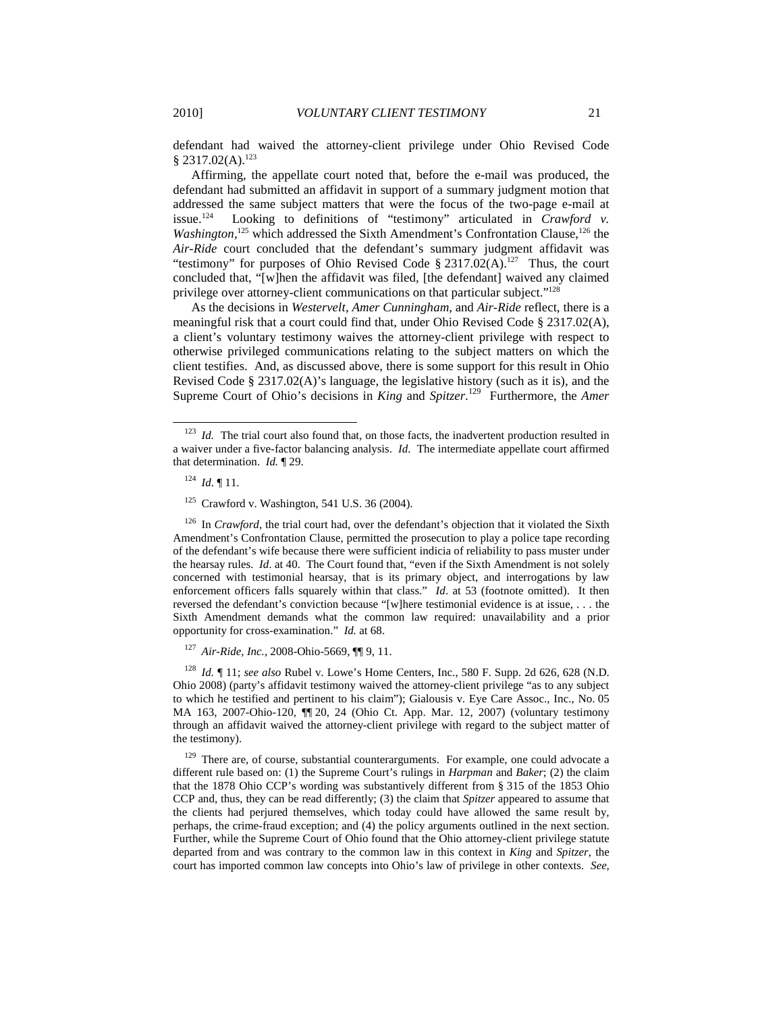defendant had waived the attorney-client privilege under Ohio Revised Code  $§ 2317.02(A).^{123}$ 

Affirming, the appellate court noted that, before the e-mail was produced, the defendant had submitted an affidavit in support of a summary judgment motion that addressed the same subject matters that were the focus of the two-page e-mail at issue.<sup>124</sup> Looking to definitions of "testimony" articulated in *Crawford* v. Looking to definitions of "testimony" articulated in *Crawford v.* Washington,<sup>125</sup> which addressed the Sixth Amendment's Confrontation Clause,<sup>126</sup> the *Air-Ride* court concluded that the defendant's summary judgment affidavit was "testimony" for purposes of Ohio Revised Code  $\S 2317.02(A)$ <sup>127</sup> Thus, the court concluded that, "[w]hen the affidavit was filed, [the defendant] waived any claimed privilege over attorney-client communications on that particular subject."<sup>128</sup>

As the decisions in *Westervelt*, *Amer Cunningham*, and *Air-Ride* reflect, there is a meaningful risk that a court could find that, under Ohio Revised Code § 2317.02(A), a client's voluntary testimony waives the attorney-client privilege with respect to otherwise privileged communications relating to the subject matters on which the client testifies. And, as discussed above, there is some support for this result in Ohio Revised Code § 2317.02(A)'s language, the legislative history (such as it is), and the Supreme Court of Ohio's decisions in *King* and *Spitzer*.<sup>129</sup> Furthermore, the *Amer* 

-

<sup>126</sup> In *Crawford*, the trial court had, over the defendant's objection that it violated the Sixth Amendment's Confrontation Clause, permitted the prosecution to play a police tape recording of the defendant's wife because there were sufficient indicia of reliability to pass muster under the hearsay rules. *Id*. at 40. The Court found that, "even if the Sixth Amendment is not solely concerned with testimonial hearsay, that is its primary object, and interrogations by law enforcement officers falls squarely within that class." *Id*. at 53 (footnote omitted). It then reversed the defendant's conviction because "[w]here testimonial evidence is at issue, . . . the Sixth Amendment demands what the common law required: unavailability and a prior opportunity for cross-examination." *Id.* at 68.

<sup>127</sup> *Air-Ride, Inc.*, 2008-Ohio-5669, ¶¶ 9, 11.

<sup>128</sup> *Id.* ¶ 11; *see also* Rubel v. Lowe's Home Centers, Inc., 580 F. Supp. 2d 626, 628 (N.D. Ohio 2008) (party's affidavit testimony waived the attorney-client privilege "as to any subject to which he testified and pertinent to his claim"); Gialousis v. Eye Care Assoc., Inc., No. 05 MA 163, 2007-Ohio-120, ¶¶ 20, 24 (Ohio Ct. App. Mar. 12, 2007) (voluntary testimony through an affidavit waived the attorney-client privilege with regard to the subject matter of the testimony).

 $129$  There are, of course, substantial counterarguments. For example, one could advocate a different rule based on: (1) the Supreme Court's rulings in *Harpman* and *Baker*; (2) the claim that the 1878 Ohio CCP's wording was substantively different from § 315 of the 1853 Ohio CCP and, thus, they can be read differently; (3) the claim that *Spitzer* appeared to assume that the clients had perjured themselves, which today could have allowed the same result by, perhaps, the crime-fraud exception; and (4) the policy arguments outlined in the next section. Further, while the Supreme Court of Ohio found that the Ohio attorney-client privilege statute departed from and was contrary to the common law in this context in *King* and *Spitzer*, the court has imported common law concepts into Ohio's law of privilege in other contexts. *See,* 

<sup>&</sup>lt;sup>123</sup> *Id.* The trial court also found that, on those facts, the inadvertent production resulted in a waiver under a five-factor balancing analysis. *Id.* The intermediate appellate court affirmed that determination. *Id.* ¶ 29.

<sup>124</sup> *Id*. ¶ 11.

<sup>125</sup> Crawford v. Washington, 541 U.S. 36 (2004).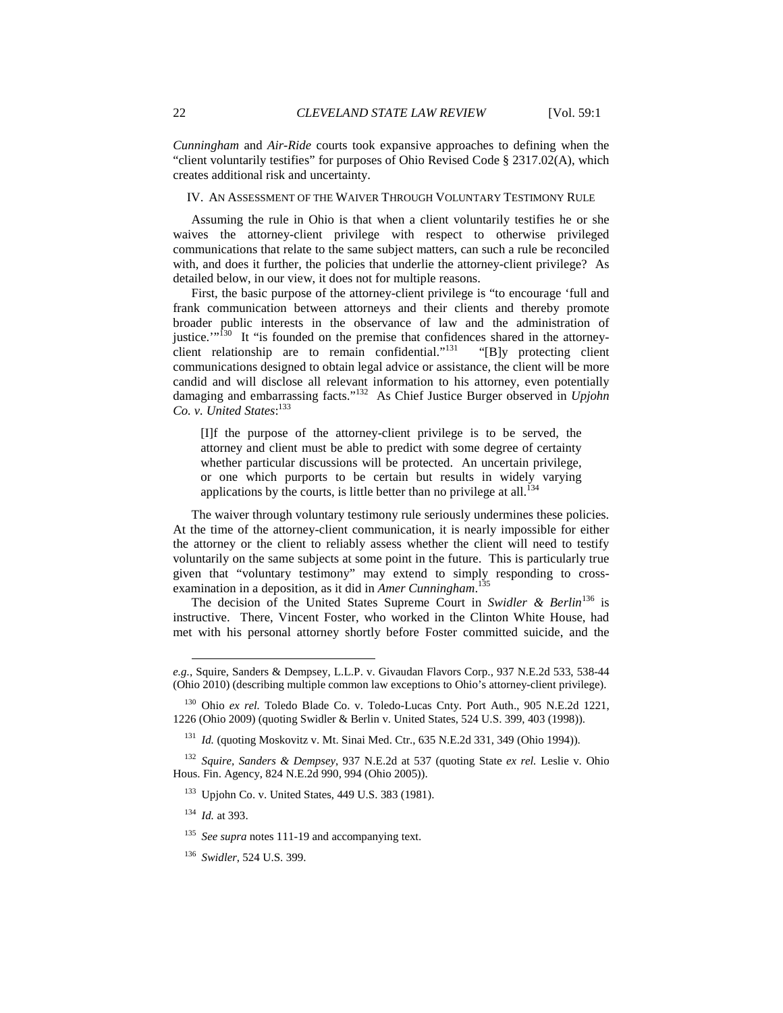*Cunningham* and *Air-Ride* courts took expansive approaches to defining when the "client voluntarily testifies" for purposes of Ohio Revised Code § 2317.02(A), which creates additional risk and uncertainty.

IV. AN ASSESSMENT OF THE WAIVER THROUGH VOLUNTARY TESTIMONY RULE

Assuming the rule in Ohio is that when a client voluntarily testifies he or she waives the attorney-client privilege with respect to otherwise privileged communications that relate to the same subject matters, can such a rule be reconciled with, and does it further, the policies that underlie the attorney-client privilege? As detailed below, in our view, it does not for multiple reasons.

First, the basic purpose of the attorney-client privilege is "to encourage 'full and frank communication between attorneys and their clients and thereby promote broader public interests in the observance of law and the administration of justice."<sup>130</sup> It "is founded on the premise that confidences shared in the attorney-<br>client relationship are to remain confidential."<sup>131</sup> "[B]y protecting client client relationship are to remain confidential." $131$ communications designed to obtain legal advice or assistance, the client will be more candid and will disclose all relevant information to his attorney, even potentially damaging and embarrassing facts."<sup>132</sup> As Chief Justice Burger observed in *Upjohn Co. v. United States*: 133

[I]f the purpose of the attorney-client privilege is to be served, the attorney and client must be able to predict with some degree of certainty whether particular discussions will be protected. An uncertain privilege, or one which purports to be certain but results in widely varying applications by the courts, is little better than no privilege at all.<sup>134</sup>

The waiver through voluntary testimony rule seriously undermines these policies. At the time of the attorney-client communication, it is nearly impossible for either the attorney or the client to reliably assess whether the client will need to testify voluntarily on the same subjects at some point in the future. This is particularly true given that "voluntary testimony" may extend to simply responding to crossexamination in a deposition, as it did in *Amer Cunningham*. 135

The decision of the United States Supreme Court in *Swidler & Berlin*<sup>136</sup> is instructive. There, Vincent Foster, who worked in the Clinton White House, had met with his personal attorney shortly before Foster committed suicide, and the

<sup>131</sup> *Id.* (quoting Moskovitz v. Mt. Sinai Med. Ctr., 635 N.E.2d 331, 349 (Ohio 1994)).

 $\overline{a}$ 

*e.g.*, Squire, Sanders & Dempsey, L.L.P. v. Givaudan Flavors Corp., 937 N.E.2d 533, 538-44 (Ohio 2010) (describing multiple common law exceptions to Ohio's attorney-client privilege).

<sup>130</sup> Ohio *ex rel.* Toledo Blade Co. v. Toledo-Lucas Cnty. Port Auth., 905 N.E.2d 1221, 1226 (Ohio 2009) (quoting Swidler & Berlin v. United States, 524 U.S. 399, 403 (1998)).

<sup>132</sup> *Squire, Sanders & Dempsey*, 937 N.E.2d at 537 (quoting State *ex rel.* Leslie v. Ohio Hous. Fin. Agency, 824 N.E.2d 990, 994 (Ohio 2005)).

<sup>133</sup> Upjohn Co. v. United States, 449 U.S. 383 (1981).

<sup>134</sup> *Id.* at 393.

<sup>135</sup> *See supra* notes 111-19 and accompanying text.

<sup>136</sup> *Swidler*, 524 U.S. 399.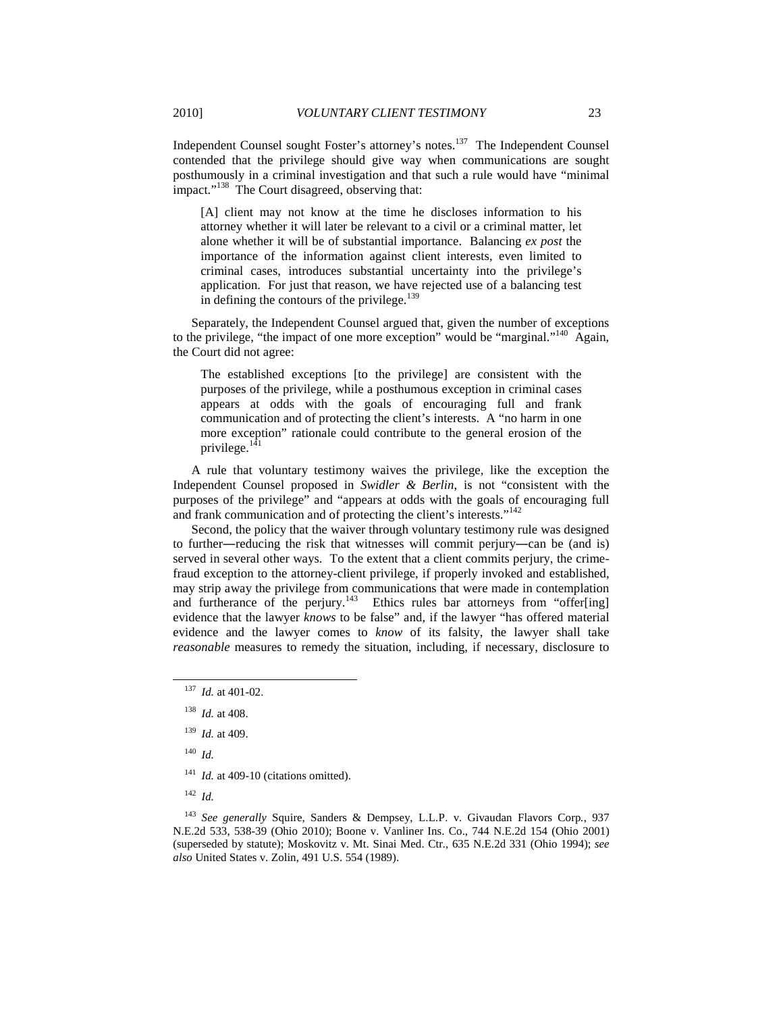Independent Counsel sought Foster's attorney's notes.<sup>137</sup> The Independent Counsel contended that the privilege should give way when communications are sought posthumously in a criminal investigation and that such a rule would have "minimal impact."<sup>138</sup> The Court disagreed, observing that:

[A] client may not know at the time he discloses information to his attorney whether it will later be relevant to a civil or a criminal matter, let alone whether it will be of substantial importance. Balancing *ex post* the importance of the information against client interests, even limited to criminal cases, introduces substantial uncertainty into the privilege's application. For just that reason, we have rejected use of a balancing test in defining the contours of the privilege. $139$ 

Separately, the Independent Counsel argued that, given the number of exceptions to the privilege, "the impact of one more exception" would be "marginal."<sup>140</sup> Again, the Court did not agree:

The established exceptions [to the privilege] are consistent with the purposes of the privilege, while a posthumous exception in criminal cases appears at odds with the goals of encouraging full and frank communication and of protecting the client's interests. A "no harm in one more exception" rationale could contribute to the general erosion of the privilege.<sup>141</sup>

A rule that voluntary testimony waives the privilege, like the exception the Independent Counsel proposed in *Swidler & Berlin*, is not "consistent with the purposes of the privilege" and "appears at odds with the goals of encouraging full and frank communication and of protecting the client's interests."<sup>142</sup>

Second, the policy that the waiver through voluntary testimony rule was designed to further―reducing the risk that witnesses will commit perjury―can be (and is) served in several other ways. To the extent that a client commits perjury, the crimefraud exception to the attorney-client privilege, if properly invoked and established, may strip away the privilege from communications that were made in contemplation and furtherance of the perjury.<sup>143</sup> Ethics rules bar attorneys from "offer[ing] evidence that the lawyer *knows* to be false" and, if the lawyer "has offered material evidence and the lawyer comes to *know* of its falsity, the lawyer shall take *reasonable* measures to remedy the situation, including, if necessary, disclosure to

<sup>140</sup> *Id.*

-

<sup>141</sup> *Id.* at 409-10 (citations omitted).

<sup>142</sup> *Id.*

<sup>137</sup> *Id.* at 401-02.

<sup>138</sup> *Id.* at 408.

<sup>139</sup> *Id.* at 409.

<sup>143</sup> *See generally* Squire, Sanders & Dempsey, L.L.P. v. Givaudan Flavors Corp*.*, 937 N.E.2d 533, 538-39 (Ohio 2010); Boone v. Vanliner Ins. Co., 744 N.E.2d 154 (Ohio 2001) (superseded by statute); Moskovitz v. Mt. Sinai Med. Ctr*.*, 635 N.E.2d 331 (Ohio 1994); *see also* United States v. Zolin, 491 U.S. 554 (1989).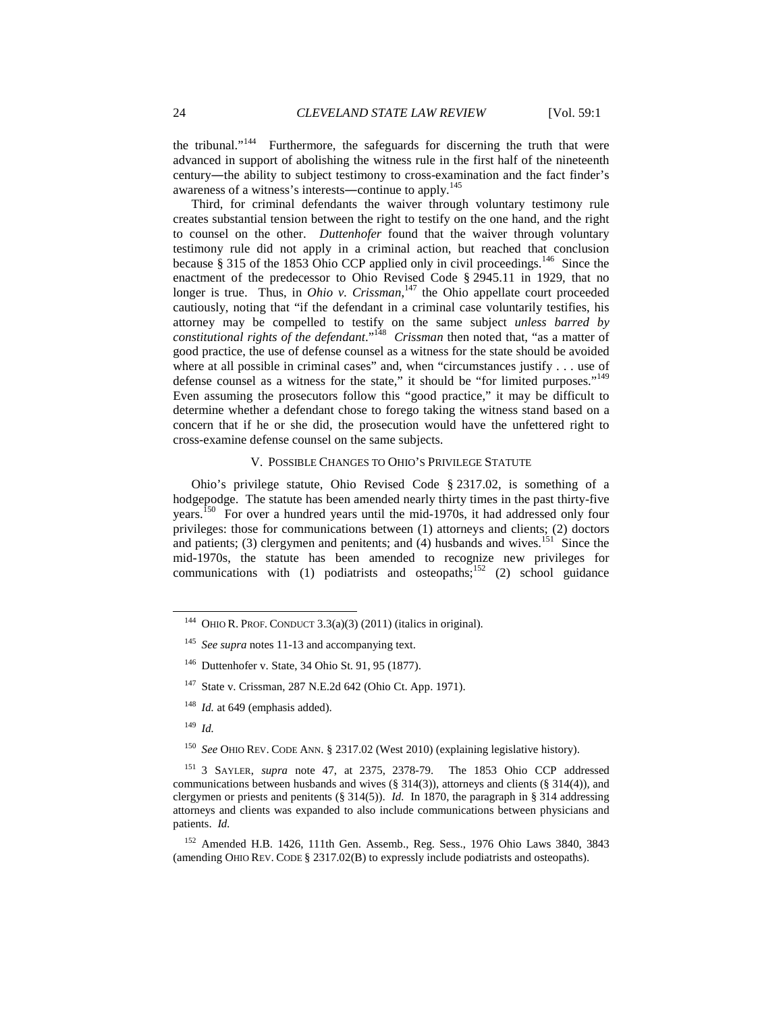the tribunal."<sup>144</sup> Furthermore, the safeguards for discerning the truth that were advanced in support of abolishing the witness rule in the first half of the nineteenth century―the ability to subject testimony to cross-examination and the fact finder's awareness of a witness's interests—continue to apply.<sup>145</sup>

Third, for criminal defendants the waiver through voluntary testimony rule creates substantial tension between the right to testify on the one hand, and the right to counsel on the other. *Duttenhofer* found that the waiver through voluntary testimony rule did not apply in a criminal action, but reached that conclusion because § 315 of the 1853 Ohio CCP applied only in civil proceedings.<sup>146</sup> Since the enactment of the predecessor to Ohio Revised Code § 2945.11 in 1929, that no longer is true. Thus, in *Ohio v. Crissman*,<sup>147</sup> the Ohio appellate court proceeded cautiously, noting that "if the defendant in a criminal case voluntarily testifies, his attorney may be compelled to testify on the same subject *unless barred by constitutional rights of the defendant*."<sup>148</sup> *Crissman then noted that, "as a matter of* good practice, the use of defense counsel as a witness for the state should be avoided where at all possible in criminal cases" and, when "circumstances justify . . . use of defense counsel as a witness for the state," it should be "for limited purposes."<sup>149</sup> Even assuming the prosecutors follow this "good practice," it may be difficult to determine whether a defendant chose to forego taking the witness stand based on a concern that if he or she did, the prosecution would have the unfettered right to cross-examine defense counsel on the same subjects.

## V. POSSIBLE CHANGES TO OHIO'S PRIVILEGE STATUTE

Ohio's privilege statute, Ohio Revised Code § 2317.02, is something of a hodgepodge. The statute has been amended nearly thirty times in the past thirty-five years.<sup>150</sup> For over a hundred years until the mid-1970s, it had addressed only four privileges: those for communications between (1) attorneys and clients; (2) doctors and patients; (3) clergymen and penitents; and (4) husbands and wives.<sup>151</sup> Since the mid-1970s, the statute has been amended to recognize new privileges for communications with (1) podiatrists and osteopaths;<sup>152</sup> (2) school guidance

<sup>149</sup> *Id.*

l

<sup>150</sup> *See* OHIO REV. CODE ANN. § 2317.02 (West 2010) (explaining legislative history).

<sup>151</sup> 3 SAYLER, *supra* note 47, at 2375, 2378-79. The 1853 Ohio CCP addressed communications between husbands and wives (§ 314(3)), attorneys and clients (§ 314(4)), and clergymen or priests and penitents (§ 314(5)). *Id.* In 1870, the paragraph in § 314 addressing attorneys and clients was expanded to also include communications between physicians and patients. *Id.*

<sup>152</sup> Amended H.B. 1426, 111th Gen. Assemb., Reg. Sess., 1976 Ohio Laws 3840, 3843 (amending OHIO REV. CODE § 2317.02(B) to expressly include podiatrists and osteopaths).

<sup>&</sup>lt;sup>144</sup> OHIO R. PROF. CONDUCT  $3.3(a)(3)$  (2011) (italics in original).

<sup>145</sup> *See supra* notes 11-13 and accompanying text.

<sup>146</sup> Duttenhofer v. State, 34 Ohio St. 91, 95 (1877).

<sup>147</sup> State v. Crissman, 287 N.E.2d 642 (Ohio Ct. App. 1971).

<sup>&</sup>lt;sup>148</sup> *Id.* at 649 (emphasis added).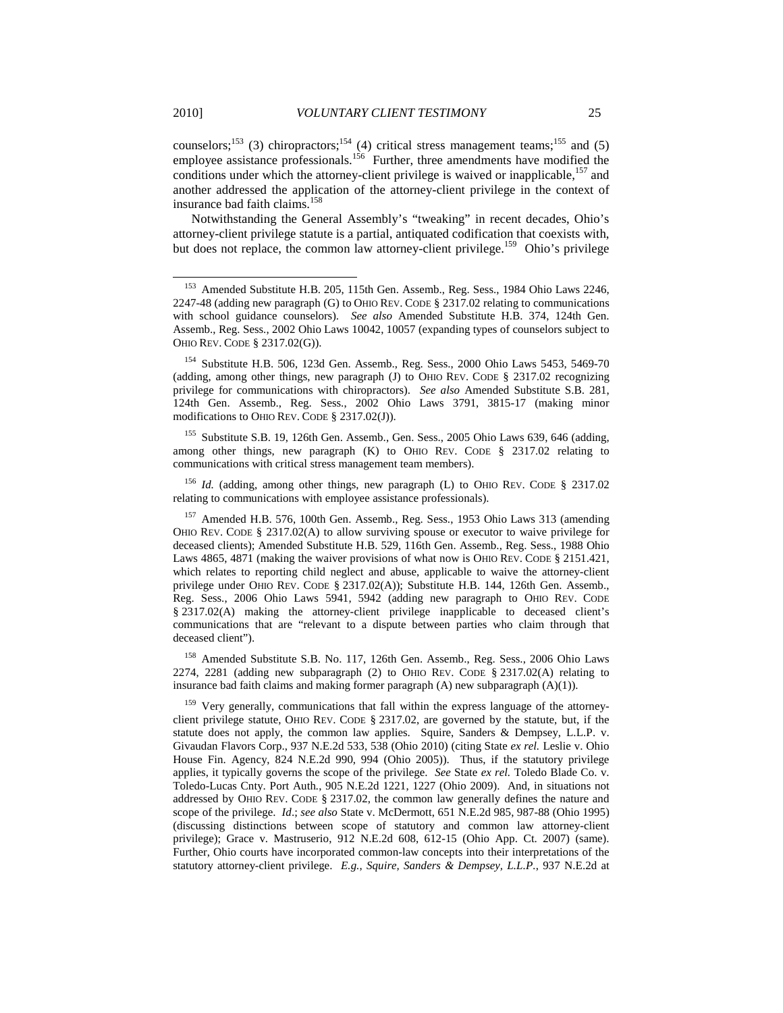counselors;<sup>153</sup> (3) chiropractors;<sup>154</sup> (4) critical stress management teams;<sup>155</sup> and (5) employee assistance professionals.<sup>156</sup> Further, three amendments have modified the conditions under which the attorney-client privilege is waived or inapplicable, $157$  and another addressed the application of the attorney-client privilege in the context of insurance bad faith claims.<sup>158</sup>

Notwithstanding the General Assembly's "tweaking" in recent decades, Ohio's attorney-client privilege statute is a partial, antiquated codification that coexists with, but does not replace, the common law attorney-client privilege.<sup>159</sup> Ohio's privilege

<sup>155</sup> Substitute S.B. 19, 126th Gen. Assemb., Gen. Sess., 2005 Ohio Laws 639, 646 (adding, among other things, new paragraph (K) to OHIO REV. CODE § 2317.02 relating to communications with critical stress management team members).

<sup>156</sup> *Id.* (adding, among other things, new paragraph (L) to OHIO REV. CODE § 2317.02 relating to communications with employee assistance professionals).

<sup>157</sup> Amended H.B. 576, 100th Gen. Assemb., Reg. Sess., 1953 Ohio Laws 313 (amending OHIO REV. CODE § 2317.02(A) to allow surviving spouse or executor to waive privilege for deceased clients); Amended Substitute H.B. 529, 116th Gen. Assemb., Reg. Sess., 1988 Ohio Laws 4865, 4871 (making the waiver provisions of what now is OHIO REV. CODE § 2151.421, which relates to reporting child neglect and abuse, applicable to waive the attorney-client privilege under OHIO REV. CODE § 2317.02(A)); Substitute H.B. 144, 126th Gen. Assemb., Reg. Sess., 2006 Ohio Laws 5941, 5942 (adding new paragraph to OHIO REV. CODE § 2317.02(A) making the attorney-client privilege inapplicable to deceased client's communications that are "relevant to a dispute between parties who claim through that deceased client").

<sup>158</sup> Amended Substitute S.B. No. 117, 126th Gen. Assemb., Reg. Sess., 2006 Ohio Laws 2274, 2281 (adding new subparagraph (2) to OHIO REV. CODE § 2317.02(A) relating to insurance bad faith claims and making former paragraph  $(A)$  new subparagraph  $(A)(1)$ ).

 $159$  Very generally, communications that fall within the express language of the attorneyclient privilege statute, OHIO REV. CODE § 2317.02, are governed by the statute, but, if the statute does not apply, the common law applies. Squire, Sanders & Dempsey, L.L.P. v. Givaudan Flavors Corp., 937 N.E.2d 533, 538 (Ohio 2010) (citing State *ex rel.* Leslie v. Ohio House Fin. Agency, 824 N.E.2d 990, 994 (Ohio 2005)). Thus, if the statutory privilege applies, it typically governs the scope of the privilege. *See* State *ex rel.* Toledo Blade Co. v. Toledo-Lucas Cnty. Port Auth*.*, 905 N.E.2d 1221, 1227 (Ohio 2009). And, in situations not addressed by OHIO REV. CODE § 2317.02, the common law generally defines the nature and scope of the privilege. *Id*.; *see also* State v. McDermott, 651 N.E.2d 985, 987-88 (Ohio 1995) (discussing distinctions between scope of statutory and common law attorney-client privilege); Grace v. Mastruserio, 912 N.E.2d 608, 612-15 (Ohio App. Ct. 2007) (same). Further, Ohio courts have incorporated common-law concepts into their interpretations of the statutory attorney-client privilege. *E.g.*, *Squire, Sanders & Dempsey, L.L.P.*, 937 N.E.2d at

l

<sup>153</sup> Amended Substitute H.B. 205, 115th Gen. Assemb., Reg. Sess., 1984 Ohio Laws 2246, 2247-48 (adding new paragraph (G) to OHIO REV. CODE § 2317.02 relating to communications with school guidance counselors). *See also* Amended Substitute H.B. 374, 124th Gen. Assemb., Reg. Sess., 2002 Ohio Laws 10042, 10057 (expanding types of counselors subject to OHIO REV. CODE § 2317.02(G)).

<sup>154</sup> Substitute H.B. 506, 123d Gen. Assemb., Reg. Sess., 2000 Ohio Laws 5453, 5469-70 (adding, among other things, new paragraph (J) to OHIO REV. CODE § 2317.02 recognizing privilege for communications with chiropractors). *See also* Amended Substitute S.B. 281, 124th Gen. Assemb., Reg. Sess., 2002 Ohio Laws 3791, 3815-17 (making minor modifications to OHIO REV. CODE § 2317.02(J)).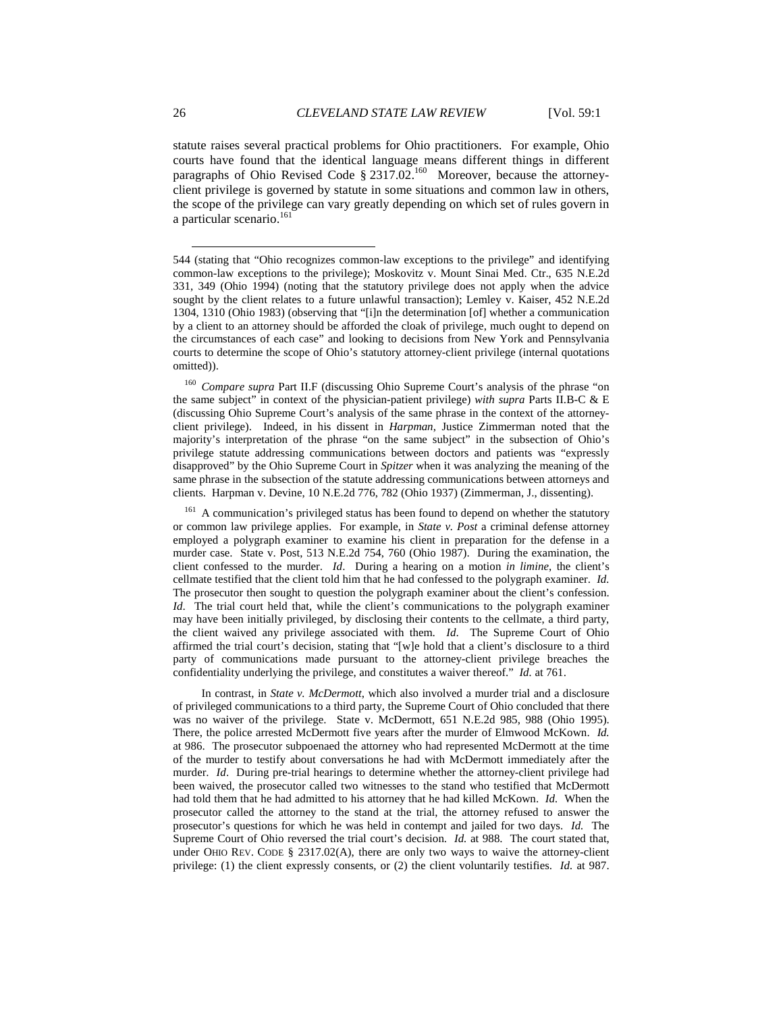statute raises several practical problems for Ohio practitioners. For example, Ohio courts have found that the identical language means different things in different paragraphs of Ohio Revised Code §  $2317.02^{160}$  Moreover, because the attorneyclient privilege is governed by statute in some situations and common law in others, the scope of the privilege can vary greatly depending on which set of rules govern in a particular scenario.<sup>161</sup>

<sup>160</sup> *Compare supra* Part II.F (discussing Ohio Supreme Court's analysis of the phrase "on the same subject" in context of the physician-patient privilege) *with supra* Parts II.B-C & E (discussing Ohio Supreme Court's analysis of the same phrase in the context of the attorneyclient privilege). Indeed, in his dissent in *Harpman*, Justice Zimmerman noted that the majority's interpretation of the phrase "on the same subject" in the subsection of Ohio's privilege statute addressing communications between doctors and patients was "expressly disapproved" by the Ohio Supreme Court in *Spitzer* when it was analyzing the meaning of the same phrase in the subsection of the statute addressing communications between attorneys and clients. Harpman v. Devine, 10 N.E.2d 776, 782 (Ohio 1937) (Zimmerman, J., dissenting).

<sup>161</sup> A communication's privileged status has been found to depend on whether the statutory or common law privilege applies. For example, in *State v. Post* a criminal defense attorney employed a polygraph examiner to examine his client in preparation for the defense in a murder case. State v. Post, 513 N.E.2d 754, 760 (Ohio 1987). During the examination, the client confessed to the murder. *Id*. During a hearing on a motion *in limine*, the client's cellmate testified that the client told him that he had confessed to the polygraph examiner. *Id.* The prosecutor then sought to question the polygraph examiner about the client's confession. *Id*. The trial court held that, while the client's communications to the polygraph examiner may have been initially privileged, by disclosing their contents to the cellmate, a third party, the client waived any privilege associated with them. *Id*. The Supreme Court of Ohio affirmed the trial court's decision, stating that "[w]e hold that a client's disclosure to a third party of communications made pursuant to the attorney-client privilege breaches the confidentiality underlying the privilege, and constitutes a waiver thereof." *Id.* at 761.

 In contrast, in *State v. McDermott*, which also involved a murder trial and a disclosure of privileged communications to a third party, the Supreme Court of Ohio concluded that there was no waiver of the privilege. State v. McDermott, 651 N.E.2d 985, 988 (Ohio 1995). There, the police arrested McDermott five years after the murder of Elmwood McKown. *Id.* at 986. The prosecutor subpoenaed the attorney who had represented McDermott at the time of the murder to testify about conversations he had with McDermott immediately after the murder. *Id*. During pre-trial hearings to determine whether the attorney-client privilege had been waived, the prosecutor called two witnesses to the stand who testified that McDermott had told them that he had admitted to his attorney that he had killed McKown. *Id.* When the prosecutor called the attorney to the stand at the trial, the attorney refused to answer the prosecutor's questions for which he was held in contempt and jailed for two days. *Id.* The Supreme Court of Ohio reversed the trial court's decision. *Id.* at 988. The court stated that, under OHIO REV. CODE  $\S$  2317.02(A), there are only two ways to waive the attorney-client privilege: (1) the client expressly consents, or (2) the client voluntarily testifies. *Id.* at 987.

 $\overline{a}$ 

<sup>544 (</sup>stating that "Ohio recognizes common-law exceptions to the privilege" and identifying common-law exceptions to the privilege); Moskovitz v. Mount Sinai Med. Ctr., 635 N.E.2d 331, 349 (Ohio 1994) (noting that the statutory privilege does not apply when the advice sought by the client relates to a future unlawful transaction); Lemley v. Kaiser, 452 N.E.2d 1304, 1310 (Ohio 1983) (observing that "[i]n the determination [of] whether a communication by a client to an attorney should be afforded the cloak of privilege, much ought to depend on the circumstances of each case" and looking to decisions from New York and Pennsylvania courts to determine the scope of Ohio's statutory attorney-client privilege (internal quotations omitted)).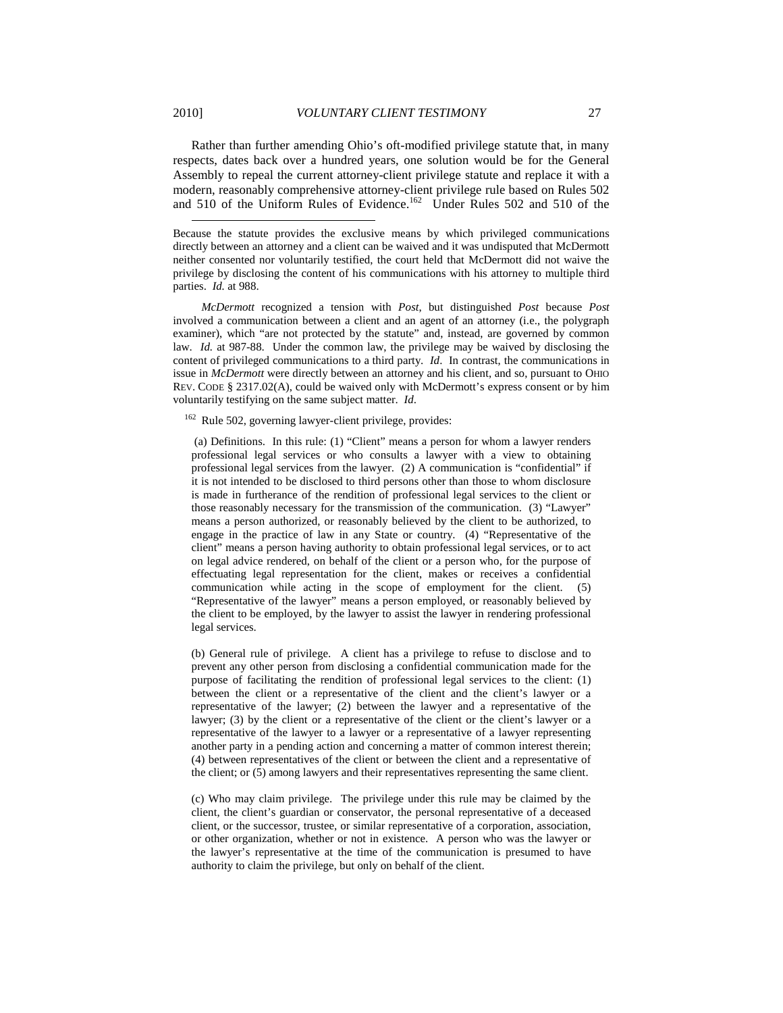Rather than further amending Ohio's oft-modified privilege statute that, in many respects, dates back over a hundred years, one solution would be for the General Assembly to repeal the current attorney-client privilege statute and replace it with a modern, reasonably comprehensive attorney-client privilege rule based on Rules 502 and 510 of the Uniform Rules of Evidence.<sup>162</sup> Under Rules 502 and 510 of the

 *McDermott* recognized a tension with *Post*, but distinguished *Post* because *Post* involved a communication between a client and an agent of an attorney (i.e., the polygraph examiner), which "are not protected by the statute" and, instead, are governed by common law. *Id.* at 987-88. Under the common law, the privilege may be waived by disclosing the content of privileged communications to a third party. *Id*. In contrast, the communications in issue in *McDermott* were directly between an attorney and his client, and so, pursuant to OHIO REV. CODE § 2317.02(A), could be waived only with McDermott's express consent or by him voluntarily testifying on the same subject matter. *Id*.

<sup>162</sup> Rule 502, governing lawyer-client privilege, provides:

 (a) Definitions. In this rule: (1) "Client" means a person for whom a lawyer renders professional legal services or who consults a lawyer with a view to obtaining professional legal services from the lawyer. (2) A communication is "confidential" if it is not intended to be disclosed to third persons other than those to whom disclosure is made in furtherance of the rendition of professional legal services to the client or those reasonably necessary for the transmission of the communication. (3) "Lawyer" means a person authorized, or reasonably believed by the client to be authorized, to engage in the practice of law in any State or country. (4) "Representative of the client" means a person having authority to obtain professional legal services, or to act on legal advice rendered, on behalf of the client or a person who, for the purpose of effectuating legal representation for the client, makes or receives a confidential communication while acting in the scope of employment for the client. (5) "Representative of the lawyer" means a person employed, or reasonably believed by the client to be employed, by the lawyer to assist the lawyer in rendering professional legal services.

(b) General rule of privilege. A client has a privilege to refuse to disclose and to prevent any other person from disclosing a confidential communication made for the purpose of facilitating the rendition of professional legal services to the client: (1) between the client or a representative of the client and the client's lawyer or a representative of the lawyer; (2) between the lawyer and a representative of the lawyer; (3) by the client or a representative of the client or the client's lawyer or a representative of the lawyer to a lawyer or a representative of a lawyer representing another party in a pending action and concerning a matter of common interest therein; (4) between representatives of the client or between the client and a representative of the client; or (5) among lawyers and their representatives representing the same client.

(c) Who may claim privilege. The privilege under this rule may be claimed by the client, the client's guardian or conservator, the personal representative of a deceased client, or the successor, trustee, or similar representative of a corporation, association, or other organization, whether or not in existence. A person who was the lawyer or the lawyer's representative at the time of the communication is presumed to have authority to claim the privilege, but only on behalf of the client.

Because the statute provides the exclusive means by which privileged communications directly between an attorney and a client can be waived and it was undisputed that McDermott neither consented nor voluntarily testified, the court held that McDermott did not waive the privilege by disclosing the content of his communications with his attorney to multiple third parties. *Id.* at 988.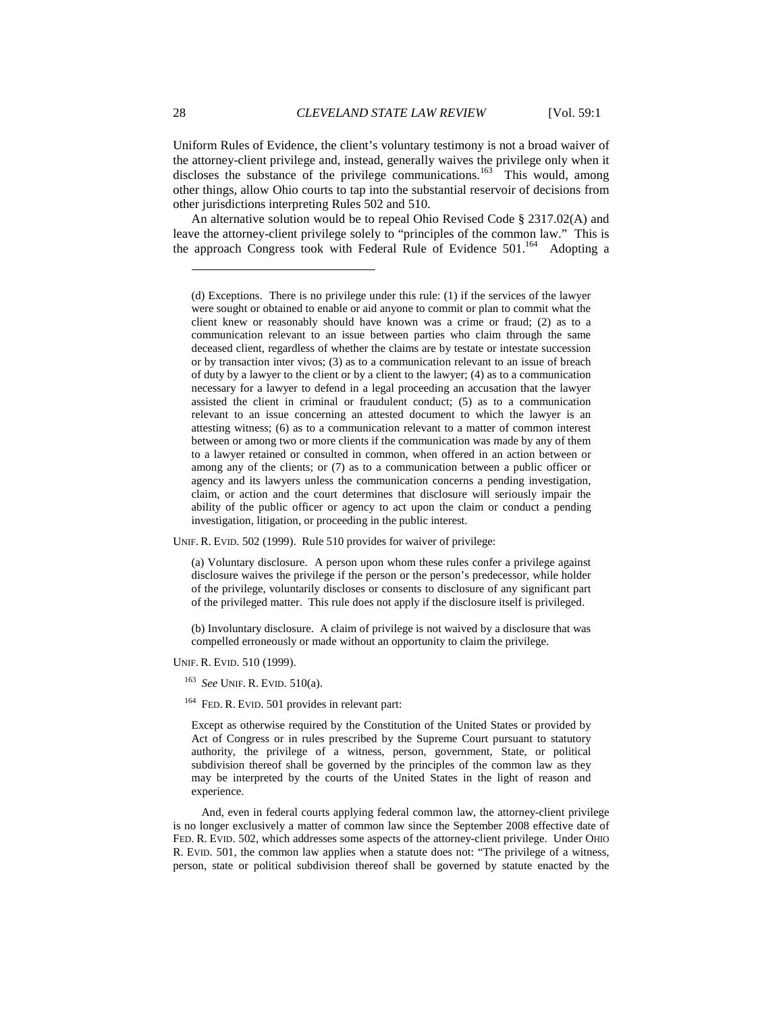Uniform Rules of Evidence, the client's voluntary testimony is not a broad waiver of the attorney-client privilege and, instead, generally waives the privilege only when it discloses the substance of the privilege communications.<sup>163</sup> This would, among other things, allow Ohio courts to tap into the substantial reservoir of decisions from other jurisdictions interpreting Rules 502 and 510.

An alternative solution would be to repeal Ohio Revised Code § 2317.02(A) and leave the attorney-client privilege solely to "principles of the common law." This is the approach Congress took with Federal Rule of Evidence 501.<sup>164</sup> Adopting a

UNIF. R. EVID. 502 (1999). Rule 510 provides for waiver of privilege:

(a) Voluntary disclosure. A person upon whom these rules confer a privilege against disclosure waives the privilege if the person or the person's predecessor, while holder of the privilege, voluntarily discloses or consents to disclosure of any significant part of the privileged matter. This rule does not apply if the disclosure itself is privileged.

(b) Involuntary disclosure. A claim of privilege is not waived by a disclosure that was compelled erroneously or made without an opportunity to claim the privilege.

UNIF. R. EVID. 510 (1999).

<sup>163</sup> *See* UNIF. R. EVID. 510(a).

<sup>164</sup> FED. R. EVID. 501 provides in relevant part:

Except as otherwise required by the Constitution of the United States or provided by Act of Congress or in rules prescribed by the Supreme Court pursuant to statutory authority, the privilege of a witness, person, government, State, or political subdivision thereof shall be governed by the principles of the common law as they may be interpreted by the courts of the United States in the light of reason and experience.

 And, even in federal courts applying federal common law, the attorney-client privilege is no longer exclusively a matter of common law since the September 2008 effective date of FED. R. EVID. 502, which addresses some aspects of the attorney-client privilege. Under OHIO R. EVID. 501, the common law applies when a statute does not: "The privilege of a witness, person, state or political subdivision thereof shall be governed by statute enacted by the

l

<sup>(</sup>d) Exceptions. There is no privilege under this rule: (1) if the services of the lawyer were sought or obtained to enable or aid anyone to commit or plan to commit what the client knew or reasonably should have known was a crime or fraud; (2) as to a communication relevant to an issue between parties who claim through the same deceased client, regardless of whether the claims are by testate or intestate succession or by transaction inter vivos; (3) as to a communication relevant to an issue of breach of duty by a lawyer to the client or by a client to the lawyer; (4) as to a communication necessary for a lawyer to defend in a legal proceeding an accusation that the lawyer assisted the client in criminal or fraudulent conduct; (5) as to a communication relevant to an issue concerning an attested document to which the lawyer is an attesting witness; (6) as to a communication relevant to a matter of common interest between or among two or more clients if the communication was made by any of them to a lawyer retained or consulted in common, when offered in an action between or among any of the clients; or (7) as to a communication between a public officer or agency and its lawyers unless the communication concerns a pending investigation, claim, or action and the court determines that disclosure will seriously impair the ability of the public officer or agency to act upon the claim or conduct a pending investigation, litigation, or proceeding in the public interest.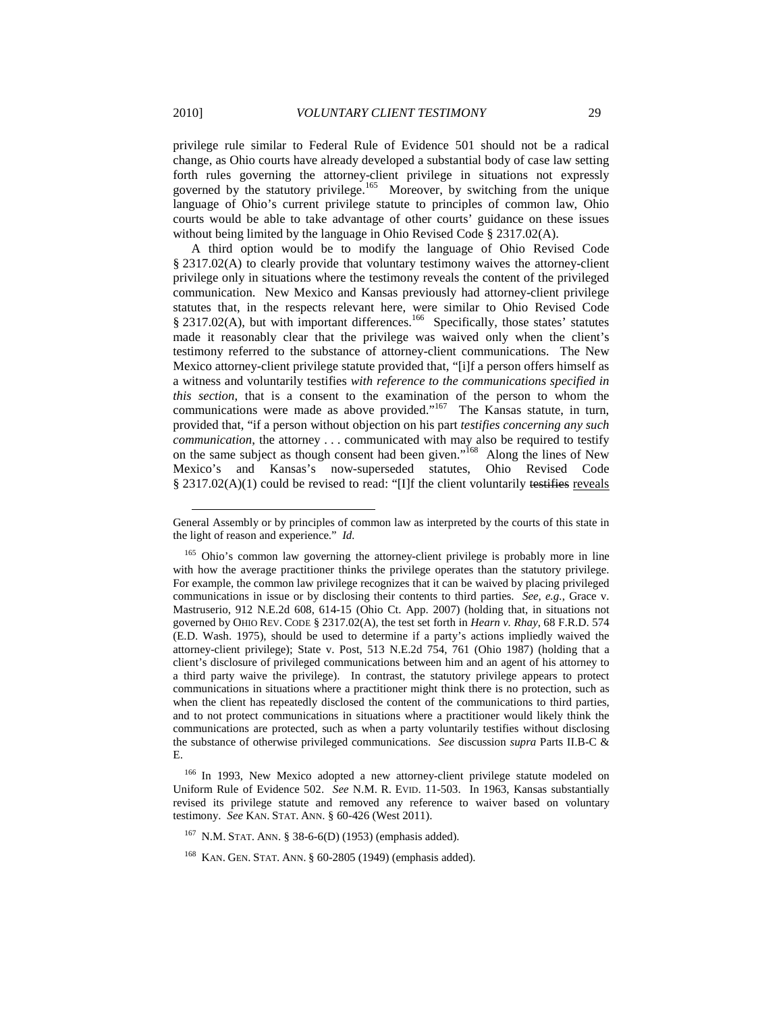privilege rule similar to Federal Rule of Evidence 501 should not be a radical change, as Ohio courts have already developed a substantial body of case law setting forth rules governing the attorney-client privilege in situations not expressly governed by the statutory privilege.<sup>165</sup> Moreover, by switching from the unique language of Ohio's current privilege statute to principles of common law, Ohio courts would be able to take advantage of other courts' guidance on these issues without being limited by the language in Ohio Revised Code § 2317.02(A).

A third option would be to modify the language of Ohio Revised Code § 2317.02(A) to clearly provide that voluntary testimony waives the attorney-client privilege only in situations where the testimony reveals the content of the privileged communication. New Mexico and Kansas previously had attorney-client privilege statutes that, in the respects relevant here, were similar to Ohio Revised Code § 2317.02(A), but with important differences.<sup>166</sup> Specifically, those states' statutes made it reasonably clear that the privilege was waived only when the client's testimony referred to the substance of attorney-client communications. The New Mexico attorney-client privilege statute provided that, "[i]f a person offers himself as a witness and voluntarily testifies *with reference to the communications specified in this section*, that is a consent to the examination of the person to whom the communications were made as above provided." $167$  The Kansas statute, in turn, provided that, "if a person without objection on his part *testifies concerning any such communication*, the attorney . . . communicated with may also be required to testify on the same subject as though consent had been given."<sup>168</sup> Along the lines of New Mexico's and Kansas's now-superseded statutes, Ohio Revised Code § 2317.02(A)(1) could be revised to read: "[I]f the client voluntarily testifies reveals

 $\overline{a}$ 

General Assembly or by principles of common law as interpreted by the courts of this state in the light of reason and experience." *Id.* 

<sup>&</sup>lt;sup>165</sup> Ohio's common law governing the attorney-client privilege is probably more in line with how the average practitioner thinks the privilege operates than the statutory privilege. For example, the common law privilege recognizes that it can be waived by placing privileged communications in issue or by disclosing their contents to third parties. *See, e.g.*, Grace v. Mastruserio, 912 N.E.2d 608, 614-15 (Ohio Ct. App. 2007) (holding that, in situations not governed by OHIO REV. CODE § 2317.02(A), the test set forth in *Hearn v. Rhay*, 68 F.R.D. 574 (E.D. Wash. 1975), should be used to determine if a party's actions impliedly waived the attorney-client privilege); State v. Post, 513 N.E.2d 754, 761 (Ohio 1987) (holding that a client's disclosure of privileged communications between him and an agent of his attorney to a third party waive the privilege). In contrast, the statutory privilege appears to protect communications in situations where a practitioner might think there is no protection, such as when the client has repeatedly disclosed the content of the communications to third parties, and to not protect communications in situations where a practitioner would likely think the communications are protected, such as when a party voluntarily testifies without disclosing the substance of otherwise privileged communications. *See* discussion *supra* Parts II.B-C & E.

<sup>&</sup>lt;sup>166</sup> In 1993, New Mexico adopted a new attorney-client privilege statute modeled on Uniform Rule of Evidence 502. *See* N.M. R. EVID. 11-503. In 1963, Kansas substantially revised its privilege statute and removed any reference to waiver based on voluntary testimony. *See* KAN. STAT. ANN. § 60-426 (West 2011).

<sup>167</sup> N.M. STAT. ANN. § 38-6-6(D) (1953) (emphasis added).

<sup>168</sup> KAN. GEN. STAT. ANN. § 60-2805 (1949) (emphasis added).